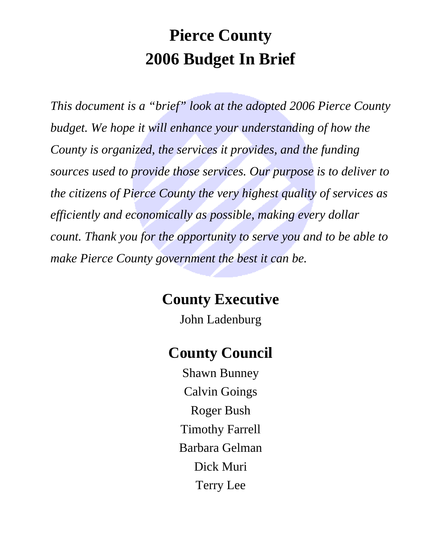# **Pierce County 2006 Budget In Brief**

*This document is a "brief" look at the adopted 2006 Pierce County budget. We hope it will enhance your understanding of how the County is organized, the services it provides, and the funding sources used to provide those services. Our purpose is to deliver to the citizens of Pierce County the very highest quality of services as efficiently and economically as possible, making every dollar count. Thank you for the opportunity to serve you and to be able to make Pierce County government the best it can be.* 

# **County Executive**

John Ladenburg

# **County Council**

Shawn Bunney Calvin Goings Roger Bush Timothy Farrell Barbara Gelman Dick Muri Terry Lee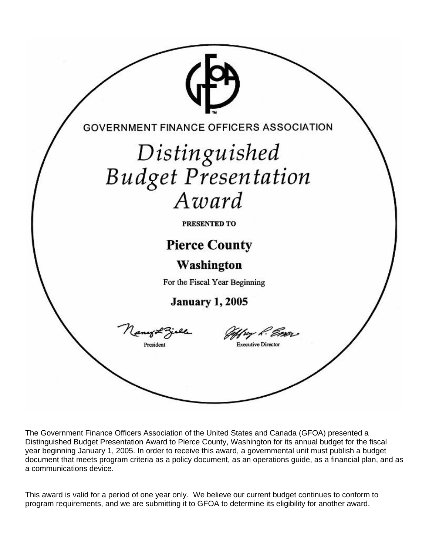

The Government Finance Officers Association of the United States and Canada (GFOA) presented a Distinguished Budget Presentation Award to Pierce County, Washington for its annual budget for the fiscal year beginning January 1, 2005. In order to receive this award, a governmental unit must publish a budget document that meets program criteria as a policy document, as an operations guide, as a financial plan, and as a communications device.

This award is valid for a period of one year only. We believe our current budget continues to conform to program requirements, and we are submitting it to GFOA to determine its eligibility for another award.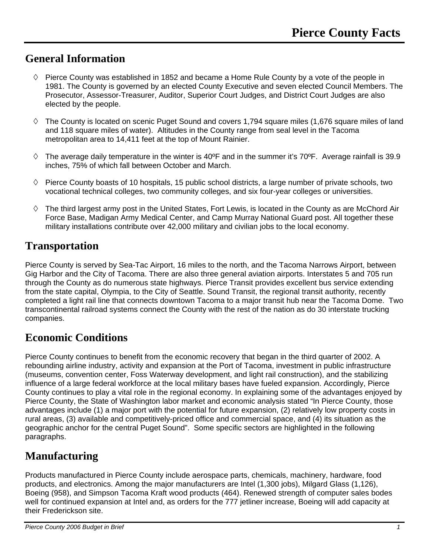### **General Information**

- $\Diamond$  Pierce County was established in 1852 and became a Home Rule County by a vote of the people in 1981. The County is governed by an elected County Executive and seven elected Council Members. The Prosecutor, Assessor-Treasurer, Auditor, Superior Court Judges, and District Court Judges are also elected by the people.
- $\Diamond$  The County is located on scenic Puget Sound and covers 1,794 square miles (1,676 square miles of land and 118 square miles of water). Altitudes in the County range from seal level in the Tacoma metropolitan area to 14,411 feet at the top of Mount Rainier.
- $\Diamond$  The average daily temperature in the winter is 40°F and in the summer it's 70°F. Average rainfall is 39.9 inches, 75% of which fall between October and March.
- $\Diamond$  Pierce County boasts of 10 hospitals, 15 public school districts, a large number of private schools, two vocational technical colleges, two community colleges, and six four-year colleges or universities.
- $\diamond$  The third largest army post in the United States, Fort Lewis, is located in the County as are McChord Air Force Base, Madigan Army Medical Center, and Camp Murray National Guard post. All together these military installations contribute over 42,000 military and civilian jobs to the local economy.

### **Transportation**

Pierce County is served by Sea-Tac Airport, 16 miles to the north, and the Tacoma Narrows Airport, between Gig Harbor and the City of Tacoma. There are also three general aviation airports. Interstates 5 and 705 run through the County as do numerous state highways. Pierce Transit provides excellent bus service extending from the state capital, Olympia, to the City of Seattle. Sound Transit, the regional transit authority, recently completed a light rail line that connects downtown Tacoma to a major transit hub near the Tacoma Dome. Two transcontinental railroad systems connect the County with the rest of the nation as do 30 interstate trucking companies.

### **Economic Conditions**

Pierce County continues to benefit from the economic recovery that began in the third quarter of 2002. A rebounding airline industry, activity and expansion at the Port of Tacoma, investment in public infrastructure (museums, convention center, Foss Waterway development, and light rail construction), and the stabilizing influence of a large federal workforce at the local military bases have fueled expansion. Accordingly, Pierce County continues to play a vital role in the regional economy. In explaining some of the advantages enjoyed by Pierce County, the State of Washington labor market and economic analysis stated "In Pierce County, those advantages include (1) a major port with the potential for future expansion, (2) relatively low property costs in rural areas, (3) available and competitively-priced office and commercial space, and (4) its situation as the geographic anchor for the central Puget Sound". Some specific sectors are highlighted in the following paragraphs.

### **Manufacturing**

Products manufactured in Pierce County include aerospace parts, chemicals, machinery, hardware, food products, and electronics. Among the major manufacturers are Intel (1,300 jobs), Milgard Glass (1,126), Boeing (958), and Simpson Tacoma Kraft wood products (464). Renewed strength of computer sales bodes well for continued expansion at Intel and, as orders for the 777 jetliner increase, Boeing will add capacity at their Frederickson site.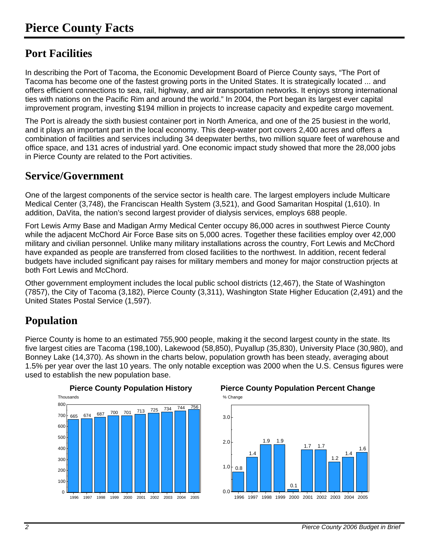### **Port Facilities**

In describing the Port of Tacoma, the Economic Development Board of Pierce County says, "The Port of Tacoma has become one of the fastest growing ports in the United States. It is strategically located ... and offers efficient connections to sea, rail, highway, and air transportation networks. It enjoys strong international ties with nations on the Pacific Rim and around the world." In 2004, the Port began its largest ever capital improvement program, investing \$194 million in projects to increase capacity and expedite cargo movement.

The Port is already the sixth busiest container port in North America, and one of the 25 busiest in the world, and it plays an important part in the local economy. This deep-water port covers 2,400 acres and offers a combination of facilities and services including 34 deepwater berths, two million square feet of warehouse and office space, and 131 acres of industrial yard. One economic impact study showed that more the 28,000 jobs in Pierce County are related to the Port activities.

### **Service/Government**

One of the largest components of the service sector is health care. The largest employers include Multicare Medical Center (3,748), the Franciscan Health System (3,521), and Good Samaritan Hospital (1,610). In addition, DaVita, the nation's second largest provider of dialysis services, employs 688 people.

Fort Lewis Army Base and Madigan Army Medical Center occupy 86,000 acres in southwest Pierce County while the adjacent McChord Air Force Base sits on 5,000 acres. Together these facilities employ over 42,000 military and civilian personnel. Unlike many military installations across the country, Fort Lewis and McChord have expanded as people are transferred from closed facilities to the northwest. In addition, recent federal budgets have included significant pay raises for military members and money for major construction prjects at both Fort Lewis and McChord.

Other government employment includes the local public school districts (12,467), the State of Washington (7857), the City of Tacoma (3,182), Pierce County (3,311), Washington State Higher Education (2,491) and the United States Postal Service (1,597).

### **Population**

Pierce County is home to an estimated 755,900 people, making it the second largest county in the state. Its five largest cities are Tacoma (198,100), Lakewood (58,850), Puyallup (35,830), University Place (30,980), and Bonney Lake (14,370). As shown in the charts below, population growth has been steady, averaging about 1.5% per year over the last 10 years. The only notable exception was 2000 when the U.S. Census figures were used to establish the new population base.



#### **Pierce County Population History Pierce County Population Percent Change**  % Change

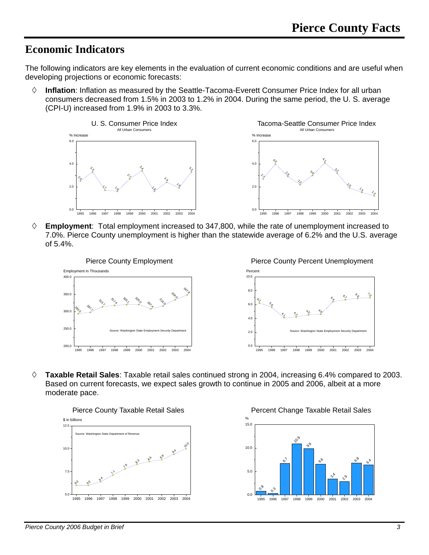### **Economic Indicators**

The following indicators are key elements in the evaluation of current economic conditions and are useful when developing projections or economic forecasts:

 **Inflation**: Inflation as measured by the Seattle-Tacoma-Everett Consumer Price Index for all urban consumers decreased from 1.5% in 2003 to 1.2% in 2004. During the same period, the U. S. average (CPI-U) increased from 1.9% in 2003 to 3.3%.



 **Employment**: Total employment increased to 347,800, while the rate of unemployment increased to 7.0%. Pierce County unemployment is higher than the statewide average of 6.2% and the U.S. average of 5.4%.



 **Taxable Retail Sales**: Taxable retail sales continued strong in 2004, increasing 6.4% compared to 2003. Based on current forecasts, we expect sales growth to continue in 2005 and 2006, albeit at a more moderate pace.



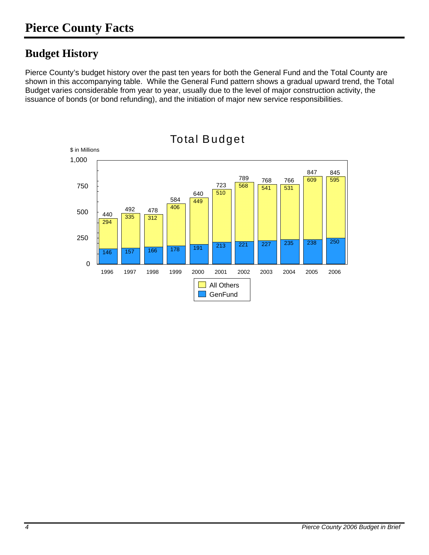### **Budget History**

Pierce County's budget history over the past ten years for both the General Fund and the Total County are shown in this accompanying table. While the General Fund pattern shows a gradual upward trend, the Total Budget varies considerable from year to year, usually due to the level of major construction activity, the issuance of bonds (or bond refunding), and the initiation of major new service responsibilities.

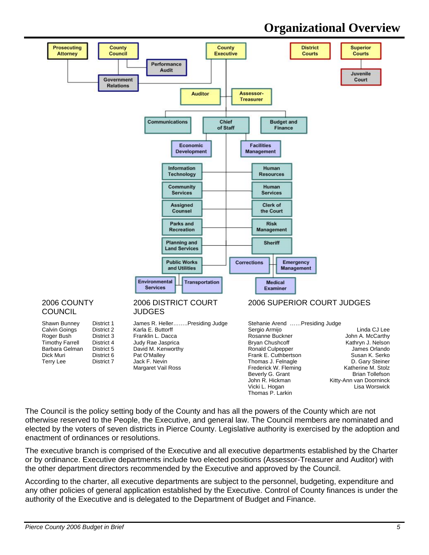### **Organizational Overview**



Jack F. Nevin and Thomas J. Felnagle<br>Margaret Vail Ross Care Communic Rederick W. Flemin

Frederick W. Fleming **Katherine M. Stolz**<br>Beverly G. Grant **Britan Tollefson** Beverly G. Grant<br>John R. Hickman John R. Hickman Kitty-Ann van Doorninck<br>Vicki L. Hogan Kitty-Ann Kisa Worswick Vicki L. Hogan Lisa Worswick Thomas P. Larkin

The Council is the policy setting body of the County and has all the powers of the County which are not otherwise reserved to the People, the Executive, and general law. The Council members are nominated and elected by the voters of seven districts in Pierce County. Legislative authority is exercised by the adoption and enactment of ordinances or resolutions.

The executive branch is comprised of the Executive and all executive departments established by the Charter or by ordinance. Executive departments include two elected positions (Assessor-Treasurer and Auditor) with the other department directors recommended by the Executive and approved by the Council.

According to the charter, all executive departments are subject to the personnel, budgeting, expenditure and any other policies of general application established by the Executive. Control of County finances is under the authority of the Executive and is delegated to the Department of Budget and Finance.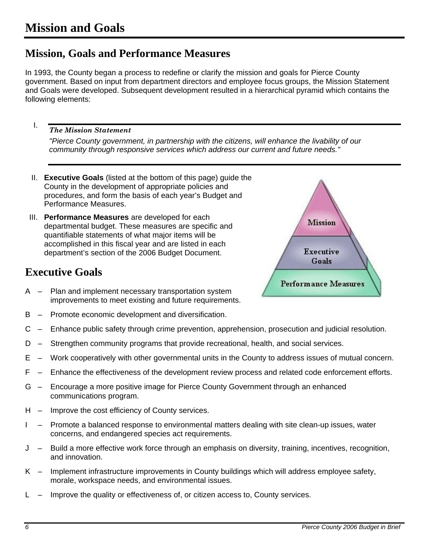### **Mission, Goals and Performance Measures**

In 1993, the County began a process to redefine or clarify the mission and goals for Pierce County government. Based on input from department directors and employee focus groups, the Mission Statement and Goals were developed. Subsequent development resulted in a hierarchical pyramid which contains the following elements:

#### *The Mission Statement*

I.

*"Pierce County government, in partnership with the citizens, will enhance the livability of our community through responsive services which address our current and future needs."* 

- II. **Executive Goals** (listed at the bottom of this page) guide the County in the development of appropriate policies and procedures, and form the basis of each year's Budget and Performance Measures.
- III. **Performance Measures** are developed for each departmental budget. These measures are specific and quantifiable statements of what major items will be accomplished in this fiscal year and are listed in each department's section of the 2006 Budget Document.

### **Executive Goals**



- A Plan and implement necessary transportation system improvements to meet existing and future requirements.
- B Promote economic development and diversification.
- C Enhance public safety through crime prevention, apprehension, prosecution and judicial resolution.
- D Strengthen community programs that provide recreational, health, and social services.
- E Work cooperatively with other governmental units in the County to address issues of mutual concern.
- F Enhance the effectiveness of the development review process and related code enforcement efforts.
- G Encourage a more positive image for Pierce County Government through an enhanced communications program.
- H Improve the cost efficiency of County services.
- I Promote a balanced response to environmental matters dealing with site clean-up issues, water concerns, and endangered species act requirements.
- J Build a more effective work force through an emphasis on diversity, training, incentives, recognition, and innovation.
- K Implement infrastructure improvements in County buildings which will address employee safety, morale, workspace needs, and environmental issues.
- L Improve the quality or effectiveness of, or citizen access to, County services.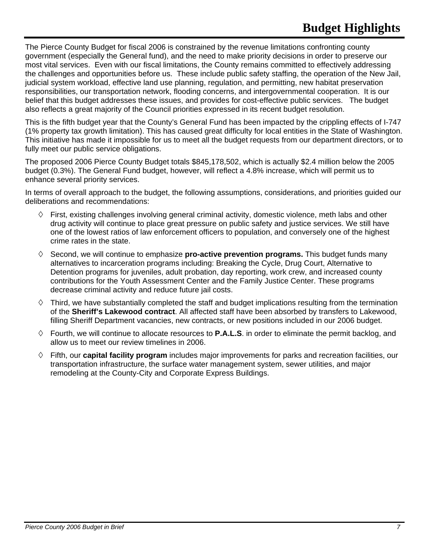The Pierce County Budget for fiscal 2006 is constrained by the revenue limitations confronting county government (especially the General fund), and the need to make priority decisions in order to preserve our most vital services. Even with our fiscal limitations, the County remains committed to effectively addressing the challenges and opportunities before us. These include public safety staffing, the operation of the New Jail, judicial system workload, effective land use planning, regulation, and permitting, new habitat preservation responsibilities, our transportation network, flooding concerns, and intergovernmental cooperation. It is our belief that this budget addresses these issues, and provides for cost-effective public services. The budget also reflects a great majority of the Council priorities expressed in its recent budget resolution.

This is the fifth budget year that the County's General Fund has been impacted by the crippling effects of I-747 (1% property tax growth limitation). This has caused great difficulty for local entities in the State of Washington. This initiative has made it impossible for us to meet all the budget requests from our department directors, or to fully meet our public service obligations.

The proposed 2006 Pierce County Budget totals \$845,178,502, which is actually \$2.4 million below the 2005 budget (0.3%). The General Fund budget, however, will reflect a 4.8% increase, which will permit us to enhance several priority services.

In terms of overall approach to the budget, the following assumptions, considerations, and priorities guided our deliberations and recommendations:

- $\Diamond$  First, existing challenges involving general criminal activity, domestic violence, meth labs and other drug activity will continue to place great pressure on public safety and justice services. We still have one of the lowest ratios of law enforcement officers to population, and conversely one of the highest crime rates in the state.
- $\Diamond$  Second, we will continue to emphasize **pro-active prevention programs.** This budget funds many alternatives to incarceration programs including: Breaking the Cycle, Drug Court, Alternative to Detention programs for juveniles, adult probation, day reporting, work crew, and increased county contributions for the Youth Assessment Center and the Family Justice Center. These programs decrease criminal activity and reduce future jail costs.
- $\Diamond$  Third, we have substantially completed the staff and budget implications resulting from the termination of the **Sheriff's Lakewood contract**. All affected staff have been absorbed by transfers to Lakewood, filling Sheriff Department vacancies, new contracts, or new positions included in our 2006 budget.
- $\Diamond$  Fourth, we will continue to allocate resources to **P.A.L.S**. in order to eliminate the permit backlog, and allow us to meet our review timelines in 2006.
- Fifth, our **capital facility program** includes major improvements for parks and recreation facilities, our transportation infrastructure, the surface water management system, sewer utilities, and major remodeling at the County-City and Corporate Express Buildings.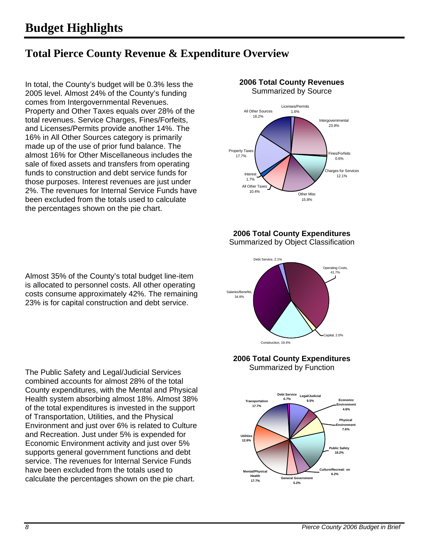### **Total Pierce County Revenue & Expenditure Overview**

In total, the County's budget will be 0.3% less the 2005 level. Almost 24% of the County's funding comes from Intergovernmental Revenues. Property and Other Taxes equals over 28% of the total revenues. Service Charges, Fines/Forfeits, and Licenses/Permits provide another 14%. The 16% in All Other Sources category is primarily made up of the use of prior fund balance. The almost 16% for Other Miscellaneous includes the sale of fixed assets and transfers from operating funds to construction and debt service funds for those purposes. Interest revenues are just under 2%. The revenues for Internal Service Funds have been excluded from the totals used to calculate the percentages shown on the pie chart.

Almost 35% of the County's total budget line-item is allocated to personnel costs. All other operating costs consume approximately 42%. The remaining 23% is for capital construction and debt service.

The Public Safety and Legal/Judicial Services combined accounts for almost 28% of the total County expenditures, with the Mental and Physical Health system absorbing almost 18%. Almost 38% of the total expenditures is invested in the support of Transportation, Utilities, and the Physical Environment and just over 6% is related to Culture and Recreation. Just under 5% is expended for Economic Environment activity and just over 5% supports general government functions and debt service. The revenues for Internal Service Funds have been excluded from the totals used to calculate the percentages shown on the pie chart.



**2006 Total County Expenditures**  Summarized by Object Classification



#### **2006 Total County Expenditures**  Summarized by Function

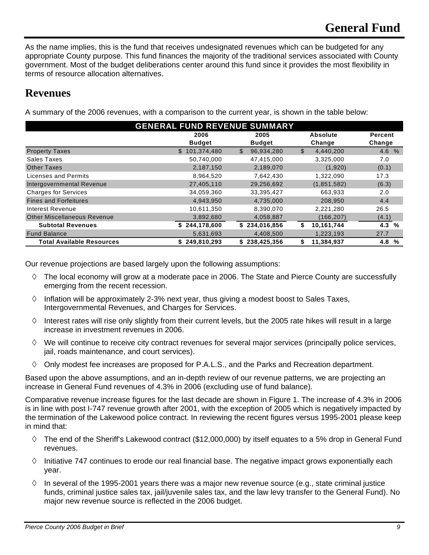As the name implies, this is the fund that receives undesignated revenues which can be budgeted for any appropriate County purpose. This fund finances the majority of the traditional services associated with County government. Most of the budget deliberations center around this fund since it provides the most flexibility in terms of resource allocation alternatives.

### **Revenues**

A summary of the 2006 revenues, with a comparison to the current year, is shown in the table below:

| <b>GENERAL FUND REVENUE SUMMARY</b> |               |                            |                  |          |  |
|-------------------------------------|---------------|----------------------------|------------------|----------|--|
|                                     | 2006          | 2005                       | Absolute         | Percent  |  |
|                                     | <b>Budget</b> | <b>Budget</b>              | Change           | Change   |  |
| <b>Property Taxes</b>               | \$101,374,480 | $\mathbb{S}$<br>96,934,280 | \$<br>4,440,200  | 4.6%     |  |
| Sales Taxes                         | 50,740,000    | 47,415,000                 | 3,325,000        | 7.0      |  |
| <b>Other Taxes</b>                  | 2,187,150     | 2,189,070                  | (1,920)          | (0.1)    |  |
| Licenses and Permits                | 8,964,520     | 7,642,430                  | 1,322,090        | 17.3     |  |
| Intergovernmental Revenue           | 27,405,110    | 29,256,692                 | (1,851,582)      | (6.3)    |  |
| <b>Charges for Services</b>         | 34,059,360    | 33,395,427                 | 663,933          | 2.0      |  |
| <b>Fines and Forfeitures</b>        | 4,943,950     | 4,735,000                  | 208,950          | 4.4      |  |
| Interest Revenue                    | 10,611,350    | 8,390,070                  | 2,221,280        | 26.5     |  |
| <b>Other Miscellaneous Revenue</b>  | 3,892,680     | 4,058,887                  | (166, 207)       | (4.1)    |  |
| <b>Subtotal Revenues</b>            | \$244.178.600 | \$234,016,856              | 10,161,744<br>S. | 4.3<br>% |  |
| <b>Fund Balance</b>                 | 5,631,693     | 4,408,500                  | 1,223,193        | 27.7     |  |
| <b>Total Available Resources</b>    | \$249,810,293 | \$238,425,356              | 11,384,937       | 4.8<br>% |  |

Our revenue projections are based largely upon the following assumptions:

- $\Diamond$  The local economy will grow at a moderate pace in 2006. The State and Pierce County are successfully emerging from the recent recession.
- $\Diamond$  Inflation will be approximately 2-3% next year, thus giving a modest boost to Sales Taxes, Intergovernmental Revenues, and Charges for Services.
- $\diamond$  Interest rates will rise only slightly from their current levels, but the 2005 rate hikes will result in a large increase in investment revenues in 2006.
- $\Diamond$  We will continue to receive city contract revenues for several major services (principally police services, jail, roads maintenance, and court services).
- $\Diamond$  Only modest fee increases are proposed for P.A.L.S., and the Parks and Recreation department.

Based upon the above assumptions, and an in-depth review of our revenue patterns, we are projecting an increase in General Fund revenues of 4.3% in 2006 (excluding use of fund balance).

Comparative revenue increase figures for the last decade are shown in Figure 1. The increase of 4.3% in 2006 is in line with post I-747 revenue growth after 2001, with the exception of 2005 which is negatively impacted by the termination of the Lakewood police contract. In reviewing the recent figures versus 1995-2001 please keep in mind that:

- $\diamond$  The end of the Sheriff's Lakewood contract (\$12,000,000) by itself equates to a 5% drop in General Fund revenues.
- $\Diamond$  Initiative 747 continues to erode our real financial base. The negative impact grows exponentially each year.
- $\Diamond$  In several of the 1995-2001 years there was a major new revenue source (e.g., state criminal justice funds, criminal justice sales tax, jail/juvenile sales tax, and the law levy transfer to the General Fund). No major new revenue source is reflected in the 2006 budget.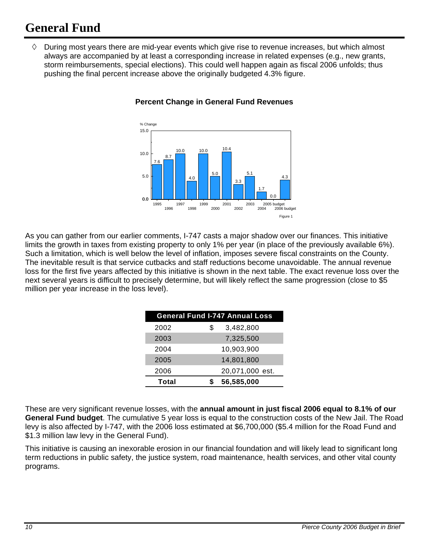## **General Fund**

 $\Diamond$  During most years there are mid-year events which give rise to revenue increases, but which almost always are accompanied by at least a corresponding increase in related expenses (e.g., new grants, storm reimbursements, special elections). This could well happen again as fiscal 2006 unfolds; thus pushing the final percent increase above the originally budgeted 4.3% figure.



#### **Percent Change in General Fund Revenues**

As you can gather from our earlier comments, I-747 casts a major shadow over our finances. This initiative limits the growth in taxes from existing property to only 1% per year (in place of the previously available 6%). Such a limitation, which is well below the level of inflation, imposes severe fiscal constraints on the County. The inevitable result is that service cutbacks and staff reductions become unavoidable. The annual revenue loss for the first five years affected by this initiative is shown in the next table. The exact revenue loss over the next several years is difficult to precisely determine, but will likely reflect the same progression (close to \$5 million per year increase in the loss level).

| <b>General Fund I-747 Annual Loss</b> |                 |  |  |  |
|---------------------------------------|-----------------|--|--|--|
| 2002                                  | 3,482,800<br>S  |  |  |  |
| 2003                                  | 7,325,500       |  |  |  |
| 2004                                  | 10,903,900      |  |  |  |
| 2005                                  | 14,801,800      |  |  |  |
| 2006                                  | 20,071,000 est. |  |  |  |
| <b>Total</b>                          | 56,585,000      |  |  |  |

These are very significant revenue losses, with the **annual amount in just fiscal 2006 equal to 8.1% of our General Fund budget**. The cumulative 5 year loss is equal to the construction costs of the New Jail. The Road levy is also affected by I-747, with the 2006 loss estimated at \$6,700,000 (\$5.4 million for the Road Fund and \$1.3 million law levy in the General Fund).

This initiative is causing an inexorable erosion in our financial foundation and will likely lead to significant long term reductions in public safety, the justice system, road maintenance, health services, and other vital county programs.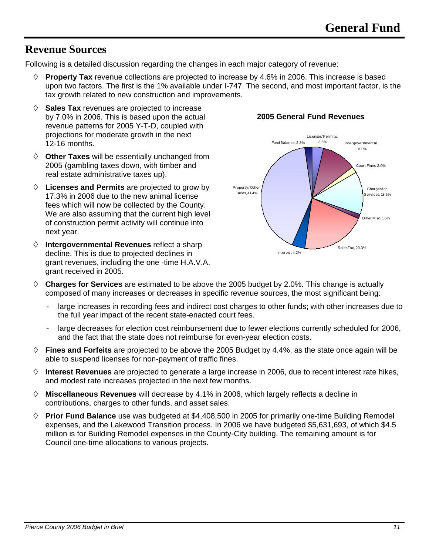### **Revenue Sources**

Following is a detailed discussion regarding the changes in each major category of revenue:

- $\Diamond$  **Property Tax** revenue collections are projected to increase by 4.6% in 2006. This increase is based upon two factors. The first is the 1% available under I-747. The second, and most important factor, is the tax growth related to new construction and improvements.
- **Sales Tax** revenues are projected to increase by 7.0% in 2006. This is based upon the actual revenue patterns for 2005 Y-T-D, coupled with projections for moderate growth in the next 12-16 months.
- **Other Taxes** will be essentially unchanged from 2005 (gambling taxes down, with timber and real estate administrative taxes up).
- **Licenses and Permits** are projected to grow by 17.3% in 2006 due to the new animal license fees which will now be collected by the County. We are also assuming that the current high level of construction permit activity will continue into next year.
- **Intergovernmental Revenues** reflect a sharp decline. This is due to projected declines in grant revenues, including the one -time H.A.V.A. grant received in 2005.





- **Charges for Services** are estimated to be above the 2005 budget by 2.0%. This change is actually composed of many increases or decreases in specific revenue sources, the most significant being:
	- large increases in recording fees and indirect cost charges to other funds; with other increases due to the full year impact of the recent state-enacted court fees.
	- large decreases for election cost reimbursement due to fewer elections currently scheduled for 2006, and the fact that the state does not reimburse for even-year election costs.
- **Fines and Forfeits** are projected to be above the 2005 Budget by 4.4%, as the state once again will be able to suspend licenses for non-payment of traffic fines.
- **Interest Revenues** are projected to generate a large increase in 2006, due to recent interest rate hikes, and modest rate increases projected in the next few months.
- **Miscellaneous Revenues** will decrease by 4.1% in 2006, which largely reflects a decline in contributions, charges to other funds, and asset sales.
- **Prior Fund Balance** use was budgeted at \$4,408,500 in 2005 for primarily one-time Building Remodel expenses, and the Lakewood Transition process. In 2006 we have budgeted \$5,631,693, of which \$4.5 million is for Building Remodel expenses in the County-City building. The remaining amount is for Council one-time allocations to various projects.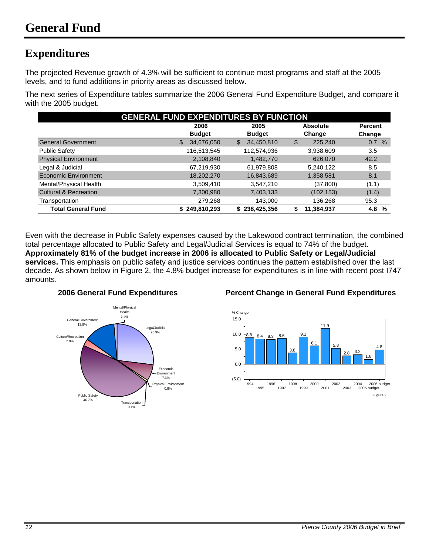### **Expenditures**

The projected Revenue growth of 4.3% will be sufficient to continue most programs and staff at the 2005 levels, and to fund additions in priority areas as discussed below.

The next series of Expenditure tables summarize the 2006 General Fund Expenditure Budget, and compare it with the 2005 budget.

| <b>GENERAL FUND EXPENDITURES BY FUNCTION</b> |                                 |                   |               |             |  |
|----------------------------------------------|---------------------------------|-------------------|---------------|-------------|--|
|                                              | 2005<br><b>Absolute</b><br>2006 |                   |               |             |  |
|                                              | <b>Budget</b>                   | <b>Budget</b>     | Change        | Change      |  |
| <b>General Government</b>                    | 34,676,050<br>\$                | 34,450,810<br>\$  | 225,240<br>\$ | 0.7<br>$\%$ |  |
| <b>Public Safety</b>                         | 116,513,545                     | 112,574,936       | 3,938,609     | 3.5         |  |
| <b>Physical Environment</b>                  | 2,108,840                       | 1,482,770         | 626,070       | 42.2        |  |
| Legal & Judicial                             | 67,219,930                      | 61,979,808        | 5,240,122     | 8.5         |  |
| <b>Economic Environment</b>                  | 18,202,270                      | 16,843,689        | 1,358,581     | 8.1         |  |
| Mental/Physical Health                       | 3,509,410                       | 3,547,210         | (37, 800)     | (1.1)       |  |
| <b>Cultural &amp; Recreation</b>             | 7,300,980                       | 7,403,133         | (102, 153)    | (1.4)       |  |
| Transportation                               | 279,268                         | 143.000           | 136,268       | 95.3        |  |
| <b>Total General Fund</b>                    | \$249,810,293                   | 238,425,356<br>S. | 11,384,937    | 4.8<br>%    |  |

Even with the decrease in Public Safety expenses caused by the Lakewood contract termination, the combined total percentage allocated to Public Safety and Legal/Judicial Services is equal to 74% of the budget. **Approximately 81% of the budget increase in 2006 is allocated to Public Safety or Legal/Judicial services.** This emphasis on public safety and justice services continues the pattern established over the last decade. As shown below in Figure 2, the 4.8% budget increase for expenditures is in line with recent post I747 amounts.



#### **2006 General Fund Expenditures Percent Change in General Fund Expenditures**

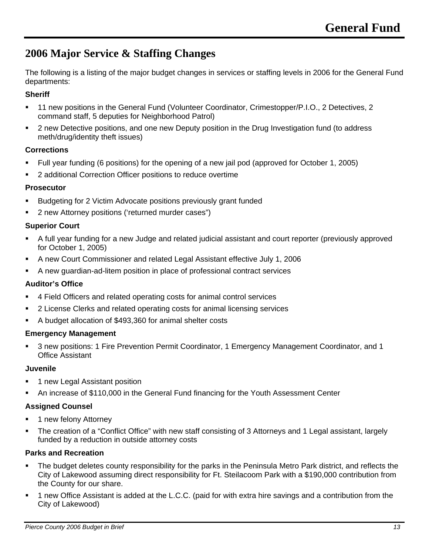### **2006 Major Service & Staffing Changes**

The following is a listing of the major budget changes in services or staffing levels in 2006 for the General Fund departments:

#### **Sheriff**

- 11 new positions in the General Fund (Volunteer Coordinator, Crimestopper/P.I.O., 2 Detectives, 2 command staff, 5 deputies for Neighborhood Patrol)
- 2 new Detective positions, and one new Deputy position in the Drug Investigation fund (to address meth/drug/identity theft issues)

#### **Corrections**

- Full year funding (6 positions) for the opening of a new jail pod (approved for October 1, 2005)
- 2 additional Correction Officer positions to reduce overtime

#### **Prosecutor**

- **Budgeting for 2 Victim Advocate positions previously grant funded**
- 2 new Attorney positions ('returned murder cases")

#### **Superior Court**

- A full year funding for a new Judge and related judicial assistant and court reporter (previously approved for October 1, 2005)
- A new Court Commissioner and related Legal Assistant effective July 1, 2006
- A new guardian-ad-litem position in place of professional contract services

#### **Auditor's Office**

- 4 Field Officers and related operating costs for animal control services
- 2 License Clerks and related operating costs for animal licensing services
- A budget allocation of \$493,360 for animal shelter costs

#### **Emergency Management**

 3 new positions: 1 Fire Prevention Permit Coordinator, 1 Emergency Management Coordinator, and 1 Office Assistant

#### **Juvenile**

- **1 new Legal Assistant position**
- An increase of \$110,000 in the General Fund financing for the Youth Assessment Center

#### **Assigned Counsel**

- **1** new felony Attorney
- The creation of a "Conflict Office" with new staff consisting of 3 Attorneys and 1 Legal assistant, largely funded by a reduction in outside attorney costs

#### **Parks and Recreation**

- The budget deletes county responsibility for the parks in the Peninsula Metro Park district, and reflects the City of Lakewood assuming direct responsibility for Ft. Steilacoom Park with a \$190,000 contribution from the County for our share.
- 1 new Office Assistant is added at the L.C.C. (paid for with extra hire savings and a contribution from the City of Lakewood)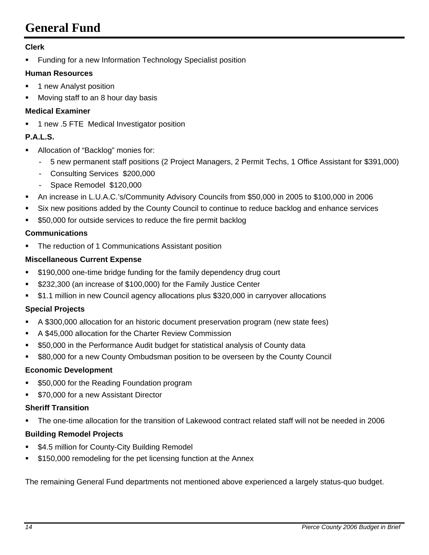# **General Fund**

#### **Clerk**

**Funding for a new Information Technology Specialist position** 

#### **Human Resources**

- **1** new Analyst position
- **Moving staff to an 8 hour day basis**

#### **Medical Examiner**

1 new .5 FTE Medical Investigator position

#### **P.A.L.S.**

- Allocation of "Backlog" monies for:
	- 5 new permanent staff positions (2 Project Managers, 2 Permit Techs, 1 Office Assistant for \$391,000)
	- Consulting Services \$200,000
	- Space Remodel \$120,000
- An increase in L.U.A.C.'s/Community Advisory Councils from \$50,000 in 2005 to \$100,000 in 2006
- Six new positions added by the County Council to continue to reduce backlog and enhance services
- \$50,000 for outside services to reduce the fire permit backlog

#### **Communications**

The reduction of 1 Communications Assistant position

#### **Miscellaneous Current Expense**

- **5190,000 one-time bridge funding for the family dependency drug court**
- \$232,300 (an increase of \$100,000) for the Family Justice Center
- \$1.1 million in new Council agency allocations plus \$320,000 in carryover allocations

#### **Special Projects**

- A \$300,000 allocation for an historic document preservation program (new state fees)
- A \$45,000 allocation for the Charter Review Commission
- **550,000 in the Performance Audit budget for statistical analysis of County data**
- \$80,000 for a new County Ombudsman position to be overseen by the County Council

#### **Economic Development**

- \$50,000 for the Reading Foundation program
- **570,000 for a new Assistant Director**

#### **Sheriff Transition**

The one-time allocation for the transition of Lakewood contract related staff will not be needed in 2006

#### **Building Remodel Projects**

- **54.5 million for County-City Building Remodel**
- \$150,000 remodeling for the pet licensing function at the Annex

The remaining General Fund departments not mentioned above experienced a largely status-quo budget.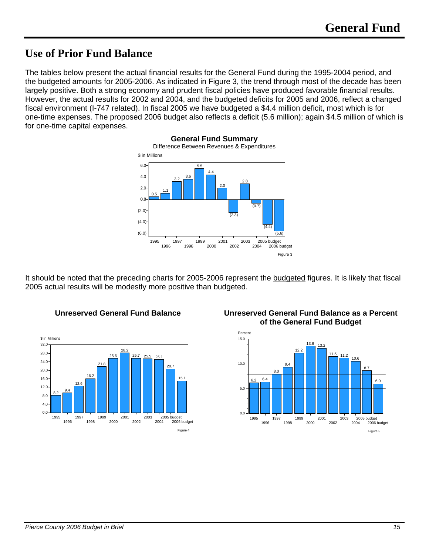### **Use of Prior Fund Balance**

The tables below present the actual financial results for the General Fund during the 1995-2004 period, and the budgeted amounts for 2005-2006. As indicated in Figure 3, the trend through most of the decade has been largely positive. Both a strong economy and prudent fiscal policies have produced favorable financial results. However, the actual results for 2002 and 2004, and the budgeted deficits for 2005 and 2006, reflect a changed fiscal environment (I-747 related). In fiscal 2005 we have budgeted a \$4.4 million deficit, most which is for one-time expenses. The proposed 2006 budget also reflects a deficit (5.6 million); again \$4.5 million of which is for one-time capital expenses.

**General Fund Summary** 



It should be noted that the preceding charts for 2005-2006 represent the budgeted figures. It is likely that fiscal 2005 actual results will be modestly more positive than budgeted.



**Unreserved General Fund Balance Unreserved General Fund Balance as a Percent of the General Fund Budget** 

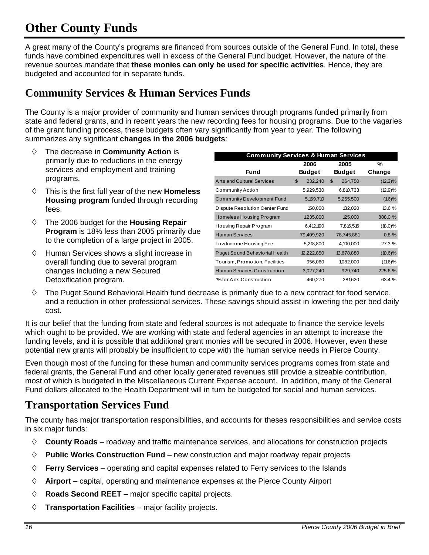# **Other County Funds**

A great many of the County's programs are financed from sources outside of the General Fund. In total, these funds have combined expenditures well in excess of the General Fund budget. However, the nature of the revenue sources mandate that **these monies can only be used for specific activities**. Hence, they are budgeted and accounted for in separate funds.

### **Community Services & Human Services Funds**

The County is a major provider of community and human services through programs funded primarily from state and federal grants, and in recent years the new recording fees for housing programs. Due to the vagaries of the grant funding process, these budgets often vary significantly from year to year. The following summarizes any significant **changes in the 2006 budgets**:

- The decrease in **Community Action** is primarily due to reductions in the energy services and employment and training programs.
- This is the first full year of the new **Homeless Housing program** funded through recording fees.
- The 2006 budget for the **Housing Repair Program** is 18% less than 2005 primarily due to the completion of a large project in 2005.
- $\Diamond$  Human Services shows a slight increase in overall funding due to several program changes including a new Secured Detoxification program.

| <b>Community Services &amp; Human Services</b> |               |               |            |  |  |  |
|------------------------------------------------|---------------|---------------|------------|--|--|--|
|                                                | %             |               |            |  |  |  |
| Fund                                           | <b>Budget</b> | <b>Budget</b> | Change     |  |  |  |
| <b>Arts and Cultural Services</b>              | 232,240<br>\$ | \$<br>264,750 | $(12.3)\%$ |  |  |  |
| Community Action                               | 5,929,530     | 6,810,733     | (12.9)%    |  |  |  |
| <b>Community Development Fund</b>              | 5,169,710     | 5,255,500     | (1.6)%     |  |  |  |
| Dispute Resolution Center Fund                 | 150,000       | 132,020       | 13.6%      |  |  |  |
| Homeless Housing Program                       | 1,235,000     | 125,000       | 888.0 %    |  |  |  |
| Housing Repair Program                         | 6,412,190     | 7,816,516     | $(18.0)\%$ |  |  |  |
| <b>Human Services</b>                          | 79,409,920    | 78,745,881    | 0.8%       |  |  |  |
| Low Income Housing Fee                         | 5,218,800     | 4,100,000     | 27.3 %     |  |  |  |
| Puget Sound Behaviorial Health                 | 12,222,850    | 13,678,880    | $(10.6)\%$ |  |  |  |
| Tourism, Promotion, Facilities                 | 956,060       | 1,082,000     | $(11.6)\%$ |  |  |  |
| <b>Human Services Construction</b>             | 3,027,240     | 929,740       | 225.6 %    |  |  |  |
| 1% for Arts Construction                       | 460,270       | 281,620       | 63.4 %     |  |  |  |

 $\Diamond$  The Puget Sound Behavioral Health fund decrease is primarily due to a new contract for food service, and a reduction in other professional services. These savings should assist in lowering the per bed daily cost.

It is our belief that the funding from state and federal sources is not adequate to finance the service levels which ought to be provided. We are working with state and federal agencies in an attempt to increase the funding levels, and it is possible that additional grant monies will be secured in 2006. However, even these potential new grants will probably be insufficient to cope with the human service needs in Pierce County.

Even though most of the funding for these human and community services programs comes from state and federal grants, the General Fund and other locally generated revenues still provide a sizeable contribution, most of which is budgeted in the Miscellaneous Current Expense account. In addition, many of the General Fund dollars allocated to the Health Department will in turn be budgeted for social and human services.

### **Transportation Services Fund**

The county has major transportation responsibilities, and accounts for theses responsibilities and service costs in six major funds:

- **County Roads** roadway and traffic maintenance services, and allocations for construction projects
- **Public Works Construction Fund** new construction and major roadway repair projects
- **Ferry Services** operating and capital expenses related to Ferry services to the Islands
- **Airport** capital, operating and maintenance expenses at the Pierce County Airport
- **Roads Second REET** major specific capital projects.
- **Transportation Facilities**  major facility projects.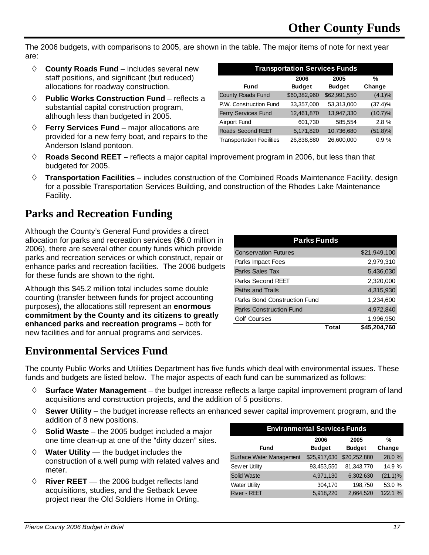The 2006 budgets, with comparisons to 2005, are shown in the table. The major items of note for next year are:

- **County Roads Fund** includes several new staff positions, and significant (but reduced) allocations for roadway construction.
- **Public Works Construction Fund** reflects a substantial capital construction program, although less than budgeted in 2005.
- **Ferry Services Fund** major allocations are provided for a new ferry boat, and repairs to the Anderson Island pontoon.

| <b>Transportation Services Funds</b>                    |              |              |            |  |  |  |  |
|---------------------------------------------------------|--------------|--------------|------------|--|--|--|--|
| 2006<br>2005<br>%                                       |              |              |            |  |  |  |  |
| <b>Budget</b><br><b>Budget</b><br>Change<br><b>Fund</b> |              |              |            |  |  |  |  |
| County Roads Fund                                       | \$60,382,960 | \$62,991,550 | $(4.1)\%$  |  |  |  |  |
| P.W. Construction Fund                                  | 33,357,000   | 53,313,000   | (37.4)%    |  |  |  |  |
| Ferry Services Fund                                     | 12,461,870   | 13,947,330   | $(10.7)\%$ |  |  |  |  |
| <b>Airport Fund</b>                                     | 601,730      | 585,554      | 2.8%       |  |  |  |  |
| <b>Roads Second REET</b>                                | 5,171,820    | 10,736,680   | $(51.8)\%$ |  |  |  |  |
| <b>Transportation Facilities</b>                        | 26,838,880   | 26,600,000   | 0.9%       |  |  |  |  |

- **Roads Second REET** reflects a major capital improvement program in 2006, but less than that budgeted for 2005.
- **Transportation Facilities** includes construction of the Combined Roads Maintenance Facility, design for a possible Transportation Services Building, and construction of the Rhodes Lake Maintenance Facility.

### **Parks and Recreation Funding**

Although the County's General Fund provides a direct allocation for parks and recreation services (\$6.0 million in 2006), there are several other county funds which provide parks and recreation services or which construct, repair or enhance parks and recreation facilities. The 2006 budgets for these funds are shown to the right.

Although this \$45.2 million total includes some double counting (transfer between funds for project accounting purposes), the allocations still represent an **enormous commitment by the County and its citizens to greatly enhanced parks and recreation programs** – both for new facilities and for annual programs and services.

| <b>Parks Funds</b>             |       |              |  |  |  |
|--------------------------------|-------|--------------|--|--|--|
| <b>Conservation Futures</b>    |       | \$21,949,100 |  |  |  |
| Parks Impact Fees              |       | 2,979,310    |  |  |  |
| Parks Sales Tax                |       | 5,436,030    |  |  |  |
| Parks Second REET              |       | 2,320,000    |  |  |  |
| Paths and Trails               |       | 4,315,930    |  |  |  |
| Parks Bond Construction Fund   |       | 1,234,600    |  |  |  |
| <b>Parks Construction Fund</b> |       | 4,972,840    |  |  |  |
| <b>Golf Courses</b>            |       | 1,996,950    |  |  |  |
|                                | Total | \$45,204,760 |  |  |  |

### **Environmental Services Fund**

The county Public Works and Utilities Department has five funds which deal with environmental issues. These funds and budgets are listed below. The major aspects of each fund can be summarized as follows:

- **Surface Water Management** the budget increase reflects a large capital improvement program of land acquisitions and construction projects, and the addition of 5 positions.
- $\diamond$  **Sewer Utility** the budget increase reflects an enhanced sewer capital improvement program, and the addition of 8 new positions.
- **Solid Waste** the 2005 budget included a major one time clean-up at one of the "dirty dozen" sites.
- $\Diamond$  **Water Utility** the budget includes the construction of a well pump with related valves and meter.
- $\Diamond$  **River REET** the 2006 budget reflects land acquisitions, studies, and the Setback Levee project near the Old Soldiers Home in Orting.

| <b>Environmental Services Funds</b> |               |               |            |  |  |  |  |
|-------------------------------------|---------------|---------------|------------|--|--|--|--|
| 2005<br>2006<br>%                   |               |               |            |  |  |  |  |
| Fund                                | <b>Budget</b> | <b>Budget</b> | Change     |  |  |  |  |
| Surface Water Management            | \$25,917,630  | \$20,252,880  | 28.0 %     |  |  |  |  |
| Sew er Utility                      | 93,453,550    | 81,343,770    | 14.9 %     |  |  |  |  |
| Solid Waste                         | 4,971,130     | 6,302,630     | $(21.1)\%$ |  |  |  |  |
| <b>Water Utility</b>                | 304,170       | 198,750       | 53.0 %     |  |  |  |  |
| <b>River - REET</b>                 | 5,918,220     | 2,664,520     | 122.1 %    |  |  |  |  |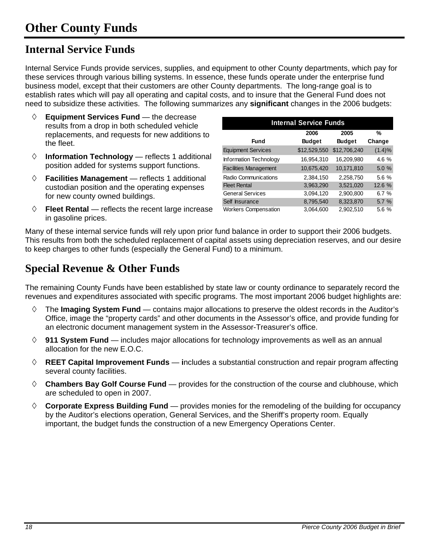### **Internal Service Funds**

Internal Service Funds provide services, supplies, and equipment to other County departments, which pay for these services through various billing systems. In essence, these funds operate under the enterprise fund business model, except that their customers are other County departments. The long-range goal is to establish rates which will pay all operating and capital costs, and to insure that the General Fund does not need to subsidize these activities. The following summarizes any **significant** changes in the 2006 budgets:

- **Equipment Services Fund**  the decrease results from a drop in both scheduled vehicle replacements, and requests for new additions to the fleet.
- $\Diamond$  **Information Technology** reflects 1 additional position added for systems support functions.
- **Facilities Management**  reflects 1 additional custodian position and the operating expenses for new county owned buildings.
- **Fleet Rental** reflects the recent large increase in gasoline prices.

| <b>Internal Service Funds</b> |               |               |        |  |  |  |  |
|-------------------------------|---------------|---------------|--------|--|--|--|--|
|                               | 2006          | 2005          | %      |  |  |  |  |
| Fund                          | <b>Budget</b> | <b>Budget</b> | Change |  |  |  |  |
| <b>Equipment Services</b>     | \$12,529,550  | \$12,706,240  | (1.4)% |  |  |  |  |
| Information Technology        | 16,954,310    | 16,209,980    | 4.6 %  |  |  |  |  |
| <b>Facilities Management</b>  | 10,675,420    | 10,171,810    | 5.0%   |  |  |  |  |
| Radio Communications          | 2,384,150     | 2,258,750     | 5.6 %  |  |  |  |  |
| <b>Fleet Rental</b>           | 3,963,290     | 3,521,020     | 12.6 % |  |  |  |  |
| <b>General Services</b>       | 3,094,120     | 2,900,800     | 6.7%   |  |  |  |  |
| Self Insurance                | 8,795,540     | 8,323,870     | 5.7 %  |  |  |  |  |
| <b>Workers Compensation</b>   | 3,064,600     | 2,902,510     | 5.6 %  |  |  |  |  |

Many of these internal service funds will rely upon prior fund balance in order to support their 2006 budgets. This results from both the scheduled replacement of capital assets using depreciation reserves, and our desire to keep charges to other funds (especially the General Fund) to a minimum.

### **Special Revenue & Other Funds**

The remaining County Funds have been established by state law or county ordinance to separately record the revenues and expenditures associated with specific programs. The most important 2006 budget highlights are:

- The **Imaging System Fund**  contains major allocations to preserve the oldest records in the Auditor's Office, image the "property cards" and other documents in the Assessor's office, and provide funding for an electronic document management system in the Assessor-Treasurer's office.
- **911 System Fund**  includes major allocations for technology improvements as well as an annual allocation for the new E.O.C.
- **REET Capital Improvement Funds** — **i**ncludes a substantial construction and repair program affecting several county facilities.
- **Chambers Bay Golf Course Fund**  provides for the construction of the course and clubhouse, which are scheduled to open in 2007.
- **Corporate Express Building Fund**  provides monies for the remodeling of the building for occupancy by the Auditor's elections operation, General Services, and the Sheriff's property room. Equally important, the budget funds the construction of a new Emergency Operations Center.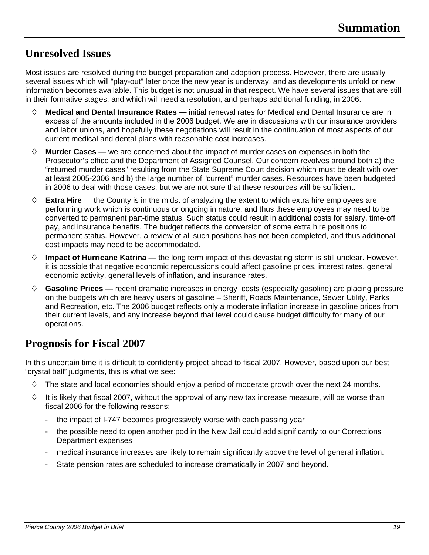### **Unresolved Issues**

Most issues are resolved during the budget preparation and adoption process. However, there are usually several issues which will "play-out" later once the new year is underway, and as developments unfold or new information becomes available. This budget is not unusual in that respect. We have several issues that are still in their formative stages, and which will need a resolution, and perhaps additional funding, in 2006.

- **Medical and Dental Insurance Rates** initial renewal rates for Medical and Dental Insurance are in excess of the amounts included in the 2006 budget. We are in discussions with our insurance providers and labor unions, and hopefully these negotiations will result in the continuation of most aspects of our current medical and dental plans with reasonable cost increases.
- **Murder Cases** we are concerned about the impact of murder cases on expenses in both the Prosecutor's office and the Department of Assigned Counsel. Our concern revolves around both a) the "returned murder cases" resulting from the State Supreme Court decision which must be dealt with over at least 2005-2006 and b) the large number of "current" murder cases. Resources have been budgeted in 2006 to deal with those cases, but we are not sure that these resources will be sufficient.
- **Extra Hire** the County is in the midst of analyzing the extent to which extra hire employees are performing work which is continuous or ongoing in nature, and thus these employees may need to be converted to permanent part-time status. Such status could result in additional costs for salary, time-off pay, and insurance benefits. The budget reflects the conversion of some extra hire positions to permanent status. However, a review of all such positions has not been completed, and thus additional cost impacts may need to be accommodated.
- $\Diamond$  **Impact of Hurricane Katrina** the long term impact of this devastating storm is still unclear. However, it is possible that negative economic repercussions could affect gasoline prices, interest rates, general economic activity, general levels of inflation, and insurance rates.
- **Gasoline Prices** recent dramatic increases in energy costs (especially gasoline) are placing pressure on the budgets which are heavy users of gasoline – Sheriff, Roads Maintenance, Sewer Utility, Parks and Recreation, etc. The 2006 budget reflects only a moderate inflation increase in gasoline prices from their current levels, and any increase beyond that level could cause budget difficulty for many of our operations.

### **Prognosis for Fiscal 2007**

In this uncertain time it is difficult to confidently project ahead to fiscal 2007. However, based upon our best "crystal ball" judgments, this is what we see:

- $\Diamond$  The state and local economies should enjoy a period of moderate growth over the next 24 months.
- $\Diamond$  It is likely that fiscal 2007, without the approval of any new tax increase measure, will be worse than fiscal 2006 for the following reasons:
	- the impact of I-747 becomes progressively worse with each passing year
	- the possible need to open another pod in the New Jail could add significantly to our Corrections Department expenses
	- medical insurance increases are likely to remain significantly above the level of general inflation.
	- State pension rates are scheduled to increase dramatically in 2007 and beyond.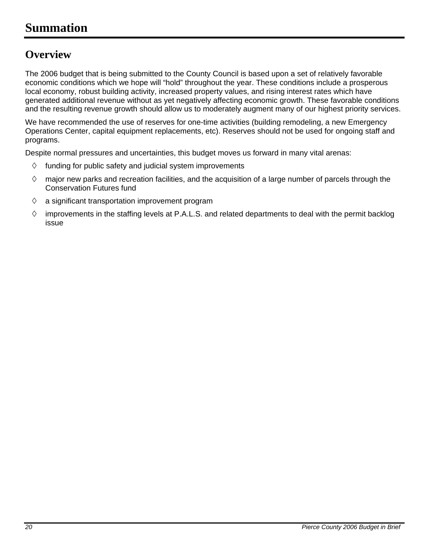### **Summation**

### **Overview**

The 2006 budget that is being submitted to the County Council is based upon a set of relatively favorable economic conditions which we hope will "hold" throughout the year. These conditions include a prosperous local economy, robust building activity, increased property values, and rising interest rates which have generated additional revenue without as yet negatively affecting economic growth. These favorable conditions and the resulting revenue growth should allow us to moderately augment many of our highest priority services.

We have recommended the use of reserves for one-time activities (building remodeling, a new Emergency Operations Center, capital equipment replacements, etc). Reserves should not be used for ongoing staff and programs.

Despite normal pressures and uncertainties, this budget moves us forward in many vital arenas:

- $\Diamond$  funding for public safety and judicial system improvements
- $\Diamond$  major new parks and recreation facilities, and the acquisition of a large number of parcels through the Conservation Futures fund
- $\Diamond$  a significant transportation improvement program
- $\diamond$  improvements in the staffing levels at P.A.L.S. and related departments to deal with the permit backlog issue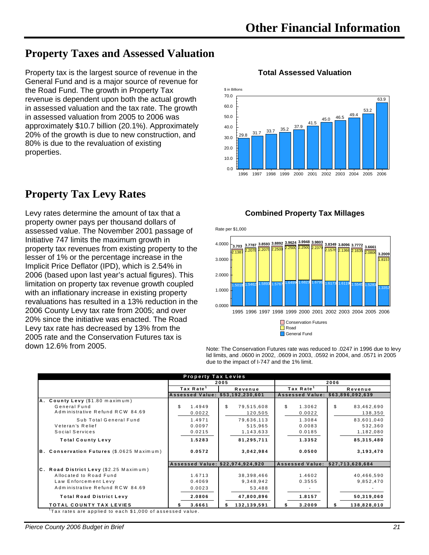### **Property Taxes and Assessed Valuation**

Property tax is the largest source of revenue in the General Fund and is a major source of revenue for the Road Fund. The growth in Property Tax revenue is dependent upon both the actual growth in assessed valuation and the tax rate. The growth in assessed valuation from 2005 to 2006 was approximately \$10.7 billion (20.1%). Approximately 20% of the growth is due to new construction, and 80% is due to the revaluation of existing properties.

### **Property Tax Levy Rates**

Levy rates determine the amount of tax that a property owner pays per thousand dollars of assessed value. The November 2001 passage of Initiative 747 limits the maximum growth in property tax revenues from existing property to the lesser of 1% or the percentage increase in the Implicit Price Deflator (IPD), which is 2.54% in 2006 (based upon last year's actual figures). This limitation on property tax revenue growth coupled with an inflationary increase in existing property revaluations has resulted in a 13% reduction in the 2006 County Levy tax rate from 2005; and over 20% since the initiative was enacted. The Road Levy tax rate has decreased by 13% from the 2005 rate and the Conservation Futures tax is down 12.6% from 2005.

#### $29.8$   $31.7$   $33.7$   $35.2$   $37.9$   $41.5$   $45.0$   $46.5$   $49.4$   $53.2$ 63.9  $0.0$  $10.0$ 20.0 30.0 40.0 50.0 60.0 70.0 \$ in Billions

#### **Total Assessed Valuation**



**Combined Property Tax Millages**



Note: The Conservation Futures rate was reduced to .0247 in 1996 due to levy lid limits, and .0600 in 2002, .0609 in 2003, .0592 in 2004, and .0571 in 2005 due to the impact of I-747 and the 1% limit.

| <b>Property Tax Levies</b>                |                                  |                  |                                  |                  |  |
|-------------------------------------------|----------------------------------|------------------|----------------------------------|------------------|--|
|                                           |                                  | 2005             |                                  | 2006             |  |
|                                           | Tax Rate <sup>1</sup>            | Revenue          | Tax Rate <sup>1</sup>            | Revenue          |  |
|                                           | Assessed Value: \$53,192,230,601 |                  | Assessed Value: \$63,896,092,639 |                  |  |
| A. County Levy (\$1.80 maximum)           |                                  |                  |                                  |                  |  |
| General Fund                              | \$<br>1.4949                     | \$<br>79,515,608 | \$<br>1.3062                     | \$<br>83,462,690 |  |
| Administrative Refund RCW 84.69           | 0.0022                           | 120,505          | 0.0022                           | 138,350          |  |
| Sub Total General Fund                    | 1.4971                           | 79,636,113       | 1.3084                           | 83,601,040       |  |
| Veteran's Relief                          | 0.0097                           | 515,965          | 0.0083                           | 532,360          |  |
| Social Services                           | 0.0215                           | 1, 143, 633      | 0.0185                           | 1,182,080        |  |
| <b>Total County Levy</b>                  | 1.5283                           | 81,295,711       | 1.3352                           | 85, 315, 480     |  |
| B. Conservation Futures (\$.0625 Maximum) | 0.0572                           | 3,042,984        | 0.0500                           | 3,193,470        |  |
|                                           | Assessed Value: \$22,974,924,920 |                  | Assessed Value: \$27,713,628,684 |                  |  |
| C. Road District Levy (\$2.25 Maximum)    |                                  |                  |                                  |                  |  |
| Allocated to Road Fund                    | 1.6713                           | 38,398,466       | 1.4602                           | 40,466,590       |  |
| Law Enforcement Levy                      | 0.4069                           | 9,348,942        | 0.3555                           | 9,852,470        |  |
| Administrative Refund RCW 84.69           | 0.0023                           | 53,488           |                                  |                  |  |
| <b>Total Road District Levy</b>           | 2.0806                           | 47,800,896       | 1.8157                           | 50,319,060       |  |
| TOTAL COUNTY TAX LEVIES                   | 3.6661                           | 132,139,591      | 3.2009                           | 138,828,010      |  |

1 Tax rates are applied to each \$1,000 of assessed value.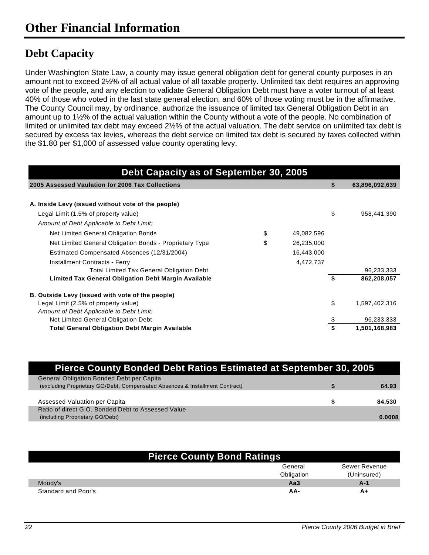### **Debt Capacity**

Under Washington State Law, a county may issue general obligation debt for general county purposes in an amount not to exceed 2½% of all actual value of all taxable property. Unlimited tax debt requires an approving vote of the people, and any election to validate General Obligation Debt must have a voter turnout of at least 40% of those who voted in the last state general election, and 60% of those voting must be in the affirmative. The County Council may, by ordinance, authorize the issuance of limited tax General Obligation Debt in an amount up to 1½% of the actual valuation within the County without a vote of the people. No combination of limited or unlimited tax debt may exceed 2½% of the actual valuation. The debt service on unlimited tax debt is secured by excess tax levies, whereas the debt service on limited tax debt is secured by taxes collected within the \$1.80 per \$1,000 of assessed value county operating levy.

| Debt Capacity as of September 30, 2005                      |    |            |    |                |
|-------------------------------------------------------------|----|------------|----|----------------|
| 2005 Assessed Vaulation for 2006 Tax Collections            |    |            | \$ | 63,896,092,639 |
|                                                             |    |            |    |                |
| A. Inside Levy (issued without vote of the people)          |    |            |    |                |
| Legal Limit (1.5% of property value)                        |    |            | \$ | 958,441,390    |
| Amount of Debt Applicable to Debt Limit:                    |    |            |    |                |
| Net Limited General Obligation Bonds                        | \$ | 49,082,596 |    |                |
| Net Limited General Obligation Bonds - Proprietary Type     | \$ | 26,235,000 |    |                |
| Estimated Compensated Absences (12/31/2004)                 |    | 16,443,000 |    |                |
| Installment Contracts - Ferry                               |    | 4,472,737  |    |                |
| <b>Total Limited Tax General Obligation Debt</b>            |    |            |    | 96,233,333     |
| <b>Limited Tax General Obligation Debt Margin Available</b> |    |            | S  | 862,208,057    |
| B. Outside Levy (issued with vote of the people)            |    |            |    |                |
| Legal Limit (2.5% of property value)                        |    |            | \$ | 1,597,402,316  |
| Amount of Debt Applicable to Debt Limit:                    |    |            |    |                |
| Net Limited General Obligation Debt                         |    |            |    | 96,233,333     |
| <b>Total General Obligation Debt Margin Available</b>       |    |            |    | 1,501,168,983  |

| <b>Pierce County Bonded Debt Ratios Estimated at September 30, 2005</b>       |  |        |  |
|-------------------------------------------------------------------------------|--|--------|--|
| <b>General Obligation Bonded Debt per Capita</b>                              |  |        |  |
| (excluding Proprietary GO/Debt, Compensated Absences, & Installment Contract) |  | 64.93  |  |
|                                                                               |  |        |  |
| Assessed Valuation per Capita                                                 |  | 84.530 |  |
| Ratio of direct G.O. Bonded Debt to Assessed Value                            |  |        |  |
| (including Proprietary GO/Debt)                                               |  | 0.0008 |  |
|                                                                               |  |        |  |

| <b>Pierce County Bond Ratings</b> |            |               |  |  |  |  |
|-----------------------------------|------------|---------------|--|--|--|--|
|                                   | General    | Sewer Revenue |  |  |  |  |
|                                   | Obligation | (Uninsured)   |  |  |  |  |
| Moody's                           | АаЗ        | A-1           |  |  |  |  |
| Standard and Poor's               | AA-        | A+            |  |  |  |  |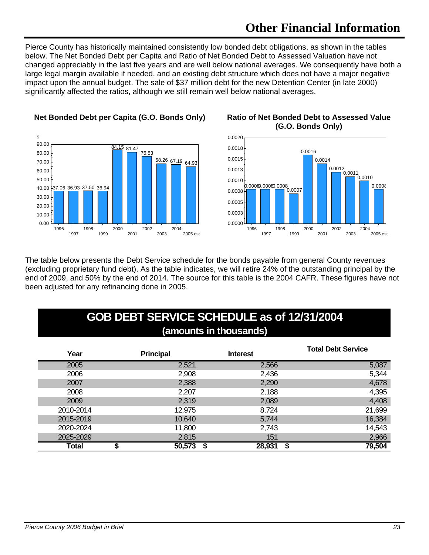## **Other Financial Information**

Pierce County has historically maintained consistently low bonded debt obligations, as shown in the tables below. The Net Bonded Debt per Capita and Ratio of Net Bonded Debt to Assessed Valuation have not changed appreciably in the last five years and are well below national averages. We consequently have both a large legal margin available if needed, and an existing debt structure which does not have a major negative impact upon the annual budget. The sale of \$37 million debt for the new Detention Center (in late 2000) significantly affected the ratios, although we still remain well below national averages.



#### **Net Bonded Debt per Capita (G.O. Bonds Only) Ratio of Net Bonded Debt to Assessed Value**

# **(G.O. Bonds Only)**



The table below presents the Debt Service schedule for the bonds payable from general County revenues (excluding proprietary fund debt). As the table indicates, we will retire 24% of the outstanding principal by the end of 2009, and 50% by the end of 2014. The source for this table is the 2004 CAFR. These figures have not been adjusted for any refinancing done in 2005.

### **GOB DEBT SERVICE SCHEDULE as of 12/31/2004 (amounts in thousands)**

| Year      | <b>Principal</b> | <b>Interest</b> | <b>Total Debt Service</b> |
|-----------|------------------|-----------------|---------------------------|
| 2005      | 2,521            | 2,566           | 5,087                     |
| 2006      | 2,908            | 2,436           | 5,344                     |
| 2007      | 2,388            | 2,290           | 4,678                     |
| 2008      | 2,207            | 2,188           | 4,395                     |
| 2009      | 2,319            | 2,089           | 4,408                     |
| 2010-2014 | 12,975           | 8,724           | 21,699                    |
| 2015-2019 | 10,640           | 5,744           | 16,384                    |
| 2020-2024 | 11,800           | 2,743           | 14,543                    |
| 2025-2029 | 2,815            | 151             | 2,966                     |
| Total     | 50,573           | 28,931          | 79,504                    |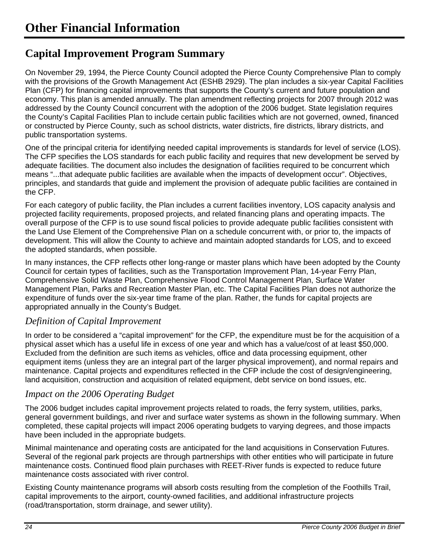### **Capital Improvement Program Summary**

On November 29, 1994, the Pierce County Council adopted the Pierce County Comprehensive Plan to comply with the provisions of the Growth Management Act (ESHB 2929). The plan includes a six-year Capital Facilities Plan (CFP) for financing capital improvements that supports the County's current and future population and economy. This plan is amended annually. The plan amendment reflecting projects for 2007 through 2012 was addressed by the County Council concurrent with the adoption of the 2006 budget. State legislation requires the County's Capital Facilities Plan to include certain public facilities which are not governed, owned, financed or constructed by Pierce County, such as school districts, water districts, fire districts, library districts, and public transportation systems.

One of the principal criteria for identifying needed capital improvements is standards for level of service (LOS). The CFP specifies the LOS standards for each public facility and requires that new development be served by adequate facilities. The document also includes the designation of facilities required to be concurrent which means "...that adequate public facilities are available when the impacts of development occur". Objectives, principles, and standards that guide and implement the provision of adequate public facilities are contained in the CFP.

For each category of public facility, the Plan includes a current facilities inventory, LOS capacity analysis and projected facility requirements, proposed projects, and related financing plans and operating impacts. The overall purpose of the CFP is to use sound fiscal policies to provide adequate public facilities consistent with the Land Use Element of the Comprehensive Plan on a schedule concurrent with, or prior to, the impacts of development. This will allow the County to achieve and maintain adopted standards for LOS, and to exceed the adopted standards, when possible.

In many instances, the CFP reflects other long-range or master plans which have been adopted by the County Council for certain types of facilities, such as the Transportation Improvement Plan, 14-year Ferry Plan, Comprehensive Solid Waste Plan, Comprehensive Flood Control Management Plan, Surface Water Management Plan, Parks and Recreation Master Plan, etc. The Capital Facilities Plan does not authorize the expenditure of funds over the six-year time frame of the plan. Rather, the funds for capital projects are appropriated annually in the County's Budget.

### *Definition of Capital Improvement*

In order to be considered a "capital improvement" for the CFP, the expenditure must be for the acquisition of a physical asset which has a useful life in excess of one year and which has a value/cost of at least \$50,000. Excluded from the definition are such items as vehicles, office and data processing equipment, other equipment items (unless they are an integral part of the larger physical improvement), and normal repairs and maintenance. Capital projects and expenditures reflected in the CFP include the cost of design/engineering, land acquisition, construction and acquisition of related equipment, debt service on bond issues, etc.

### *Impact on the 2006 Operating Budget*

The 2006 budget includes capital improvement projects related to roads, the ferry system, utilities, parks, general government buildings, and river and surface water systems as shown in the following summary. When completed, these capital projects will impact 2006 operating budgets to varying degrees, and those impacts have been included in the appropriate budgets.

Minimal maintenance and operating costs are anticipated for the land acquisitions in Conservation Futures. Several of the regional park projects are through partnerships with other entities who will participate in future maintenance costs. Continued flood plain purchases with REET-River funds is expected to reduce future maintenance costs associated with river control.

Existing County maintenance programs will absorb costs resulting from the completion of the Foothills Trail, capital improvements to the airport, county-owned facilities, and additional infrastructure projects (road/transportation, storm drainage, and sewer utility).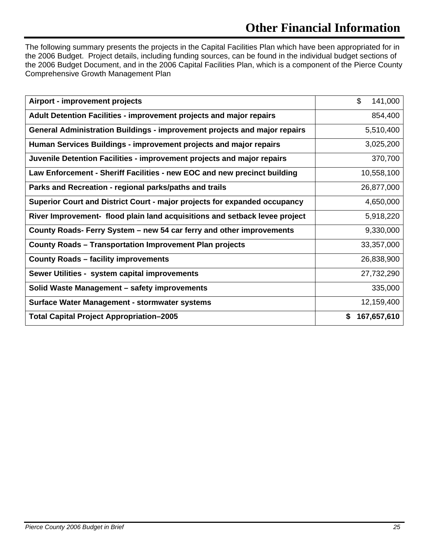# **Other Financial Information**

The following summary presents the projects in the Capital Facilities Plan which have been appropriated for in the 2006 Budget. Project details, including funding sources, can be found in the individual budget sections of the 2006 Budget Document, and in the 2006 Capital Facilities Plan, which is a component of the Pierce County Comprehensive Growth Management Plan

| Airport - improvement projects                                             | \$<br>141,000    |
|----------------------------------------------------------------------------|------------------|
| Adult Detention Facilities - improvement projects and major repairs        | 854,400          |
| General Administration Buildings - improvement projects and major repairs  | 5,510,400        |
| Human Services Buildings - improvement projects and major repairs          | 3,025,200        |
| Juvenile Detention Facilities - improvement projects and major repairs     | 370,700          |
| Law Enforcement - Sheriff Facilities - new EOC and new precinct building   | 10,558,100       |
| Parks and Recreation - regional parks/paths and trails                     | 26,877,000       |
| Superior Court and District Court - major projects for expanded occupancy  | 4,650,000        |
| River Improvement- flood plain land acquisitions and setback levee project | 5,918,220        |
| County Roads- Ferry System - new 54 car ferry and other improvements       | 9,330,000        |
| <b>County Roads - Transportation Improvement Plan projects</b>             | 33,357,000       |
| <b>County Roads - facility improvements</b>                                | 26,838,900       |
| Sewer Utilities - system capital improvements                              | 27,732,290       |
| Solid Waste Management - safety improvements                               | 335,000          |
| Surface Water Management - stormwater systems                              | 12,159,400       |
| <b>Total Capital Project Appropriation-2005</b>                            | 167,657,610<br>S |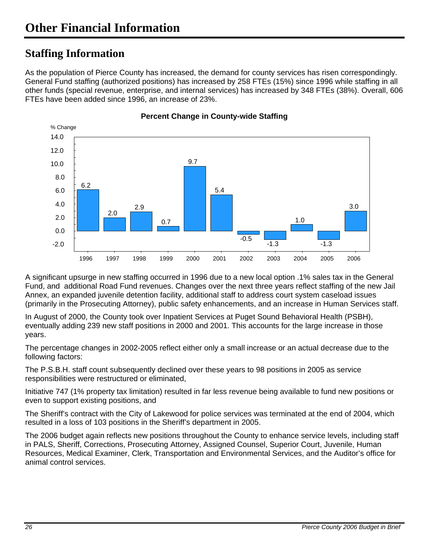### **Staffing Information**

As the population of Pierce County has increased, the demand for county services has risen correspondingly. General Fund staffing (authorized positions) has increased by 258 FTEs (15%) since 1996 while staffing in all other funds (special revenue, enterprise, and internal services) has increased by 348 FTEs (38%). Overall, 606 FTEs have been added since 1996, an increase of 23%.



**Percent Change in County-wide Staffing** 

A significant upsurge in new staffing occurred in 1996 due to a new local option .1% sales tax in the General Fund, and additional Road Fund revenues. Changes over the next three years reflect staffing of the new Jail Annex, an expanded juvenile detention facility, additional staff to address court system caseload issues (primarily in the Prosecuting Attorney), public safety enhancements, and an increase in Human Services staff.

In August of 2000, the County took over Inpatient Services at Puget Sound Behavioral Health (PSBH), eventually adding 239 new staff positions in 2000 and 2001. This accounts for the large increase in those years.

The percentage changes in 2002-2005 reflect either only a small increase or an actual decrease due to the following factors:

The P.S.B.H. staff count subsequently declined over these years to 98 positions in 2005 as service responsibilities were restructured or eliminated,

Initiative 747 (1% property tax limitation) resulted in far less revenue being available to fund new positions or even to support existing positions, and

The Sheriff's contract with the City of Lakewood for police services was terminated at the end of 2004, which resulted in a loss of 103 positions in the Sheriff's department in 2005.

The 2006 budget again reflects new positions throughout the County to enhance service levels, including staff in PALS, Sheriff, Corrections, Prosecuting Attorney, Assigned Counsel, Superior Court, Juvenile, Human Resources, Medical Examiner, Clerk, Transportation and Environmental Services, and the Auditor's office for animal control services.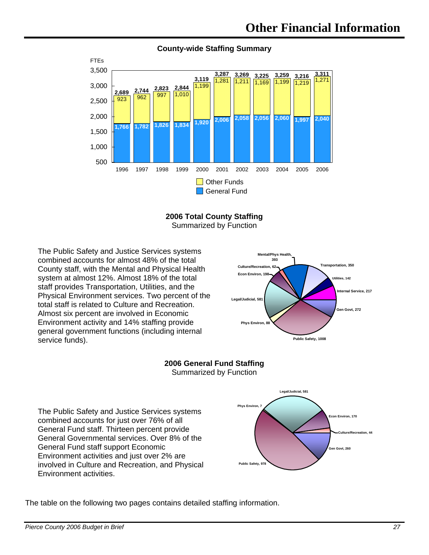

#### **County-wide Staffing Summary**

**2006 Total County Staffing**  Summarized by Function

The Public Safety and Justice Services systems combined accounts for almost 48% of the total County staff, with the Mental and Physical Health system at almost 12%. Almost 18% of the total staff provides Transportation, Utilities, and the Physical Environment services. Two percent of the total staff is related to Culture and Recreation. Almost six percent are involved in Economic Environment activity and 14% staffing provide general government functions (including internal service funds).



#### **2006 General Fund Staffing**  Summarized by Function

The Public Safety and Justice Services systems combined accounts for just over 76% of all General Fund staff. Thirteen percent provide General Governmental services. Over 8% of the General Fund staff support Economic Environment activities and just over 2% are involved in Culture and Recreation, and Physical Environment activities.



The table on the following two pages contains detailed staffing information.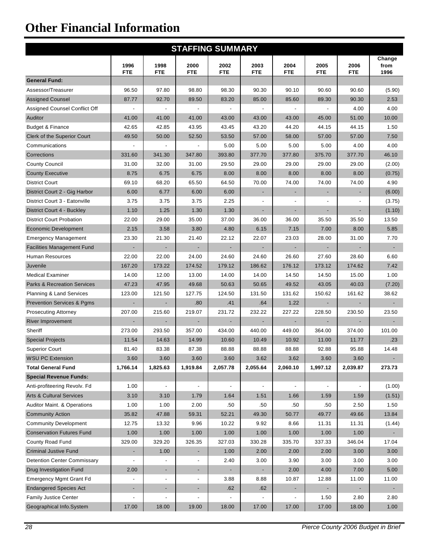# **Other Financial Information**

| <b>STAFFING SUMMARY</b>                |                          |                          |                              |                          |                          |                          |                          |                          |                        |
|----------------------------------------|--------------------------|--------------------------|------------------------------|--------------------------|--------------------------|--------------------------|--------------------------|--------------------------|------------------------|
|                                        | 1996<br><b>FTE</b>       | 1998<br><b>FTE</b>       | 2000<br><b>FTE</b>           | 2002<br><b>FTE</b>       | 2003<br><b>FTE</b>       | 2004<br><b>FTE</b>       | 2005<br><b>FTE</b>       | 2006<br><b>FTE</b>       | Change<br>from<br>1996 |
| <b>General Fund:</b>                   |                          |                          |                              |                          |                          |                          |                          |                          |                        |
| Assessor/Treasurer                     | 96.50                    | 97.80                    | 98.80                        | 98.30                    | 90.30                    | 90.10                    | 90.60                    | 90.60                    | (5.90)                 |
| <b>Assigned Counsel</b>                | 87.77                    | 92.70                    | 89.50                        | 83.20                    | 85.00                    | 85.60                    | 89.30                    | 90.30                    | 2.53                   |
| Assigned Counsel Conflict Off          | $\overline{\phantom{a}}$ |                          |                              |                          |                          | $\overline{\phantom{a}}$ |                          | 4.00                     | 4.00                   |
| Auditor                                | 41.00                    | 41.00                    | 41.00                        | 43.00                    | 43.00                    | 43.00                    | 45.00                    | 51.00                    | 10.00                  |
| <b>Budget &amp; Finance</b>            | 42.65                    | 42.85                    | 43.95                        | 43.45                    | 43.20                    | 44.20                    | 44.15                    | 44.15                    | 1.50                   |
| Clerk of the Superior Court            | 49.50                    | 50.00                    | 52.50                        | 53.50                    | 57.00                    | 58.00                    | 57.00                    | 57.00                    | 7.50                   |
| Communications                         |                          |                          |                              | 5.00                     | 5.00                     | 5.00                     | 5.00                     | 4.00                     | 4.00                   |
| Corrections                            | 331.60                   | 341.30                   | 347.80                       | 393.80                   | 377.70                   | 377.80                   | 375.70                   | 377.70                   | 46.10                  |
| <b>County Council</b>                  | 31.00                    | 32.00                    | 31.00                        | 29.50                    | 29.00                    | 29.00                    | 29.00                    | 29.00                    | (2.00)                 |
| <b>County Executive</b>                | 8.75                     | 6.75                     | 6.75                         | 8.00                     | 8.00                     | 8.00                     | 8.00                     | 8.00                     | (0.75)                 |
| <b>District Court</b>                  | 69.10                    | 68.20                    | 65.50                        | 64.50                    | 70.00                    | 74.00                    | 74.00                    | 74.00                    | 4.90                   |
| District Court 2 - Gig Harbor          | 6.00                     | 6.77                     | 6.00                         | 6.00                     | $\overline{\phantom{a}}$ |                          |                          | $\overline{\phantom{a}}$ | (6.00)                 |
| District Court 3 - Eatonville          | 3.75                     | 3.75                     | 3.75                         | 2.25                     | $\blacksquare$           |                          |                          |                          | (3.75)                 |
| District Court 4 - Buckley             | 1.10                     | 1.25                     | 1.30                         | 1.30                     | $\overline{\phantom{a}}$ | $\overline{\phantom{a}}$ |                          | $\overline{\phantom{a}}$ | (1.10)                 |
| <b>District Court Probation</b>        | 22.00                    | 29.00                    | 35.00                        | 37.00                    | 36.00                    | 36.00                    | 35.50                    | 35.50                    | 13.50                  |
| <b>Economic Development</b>            | 2.15                     | 3.58                     | 3.80                         | 4.80                     | 6.15                     | 7.15                     | 7.00                     | 8.00                     | 5.85                   |
| <b>Emergency Management</b>            | 23.30                    | 21.30                    | 21.40                        | 22.12                    | 22.07                    | 23.03                    | 28.00                    | 31.00                    | 7.70                   |
| <b>Facilities Management Fund</b>      | ÷                        | $\blacksquare$           |                              | ٠                        | $\overline{\phantom{a}}$ | $\blacksquare$           |                          | $\blacksquare$           |                        |
| Human Resources                        | 22.00                    | 22.00                    | 24.00                        | 24.60                    | 24.60                    | 26.60                    | 27.60                    | 28.60                    | 6.60                   |
| Juvenile                               | 167.20                   | 173.22                   | 174.52                       | 179.12                   | 186.62                   | 176.12                   | 173.12                   | 174.62                   | 7.42                   |
| <b>Medical Examiner</b>                | 14.00                    | 12.00                    | 13.00                        | 14.00                    | 14.00                    | 14.50                    | 14.50                    | 15.00                    | 1.00                   |
| <b>Parks &amp; Recreation Services</b> | 47.23                    | 47.95                    | 49.68                        | 50.63                    | 50.65                    | 49.52                    | 43.05                    | 40.03                    | (7.20)                 |
| Planning & Land Services               | 123.00                   | 121.50                   | 127.75                       | 124.50                   | 131.50                   | 131.62                   | 150.62                   | 161.62                   | 38.62                  |
| <b>Prevention Services &amp; Pgms</b>  | $\overline{\phantom{a}}$ | $\blacksquare$           | .80                          | .41                      | .64                      | 1.22                     | $\overline{\phantom{a}}$ | $\overline{\phantom{a}}$ | $\sim$                 |
| <b>Prosecuting Attorney</b>            | 207.00                   | 215.60                   | 219.07                       | 231.72                   | 232.22                   | 227.22                   | 228.50                   | 230.50                   | 23.50                  |
| <b>River Improvement</b>               |                          |                          |                              |                          | $\blacksquare$           |                          |                          | $\blacksquare$           |                        |
| Sheriff                                | 273.00                   | 293.50                   | 357.00                       | 434.00                   | 440.00                   | 449.00                   | 364.00                   | 374.00                   | 101.00                 |
| <b>Special Projects</b>                | 11.54                    | 14.63                    | 14.99                        | 10.60                    | 10.49                    | 10.92                    | 11.00                    | 11.77                    | $.23\,$                |
| <b>Superior Court</b>                  | 81.40                    | 83.38                    | 87.38                        | 88.88                    | 88.88                    | 88.88                    | 92.88                    | 95.88                    | 14.48                  |
| <b>WSU PC Extension</b>                | 3.60                     | 3.60                     | 3.60                         | 3.60                     | 3.62                     | 3.62                     | 3.60                     | 3.60                     |                        |
| <b>Total General Fund</b>              | 1,766.14                 | 1,825.63                 | 1,919.84                     | 2,057.78                 | 2,055.64                 | 2,060.10                 | 1,997.12                 | 2,039.87                 | 273.73                 |
| <b>Special Revenue Funds:</b>          |                          |                          |                              |                          |                          |                          |                          |                          |                        |
| Anti-profiteering Revolv. Fd           | 1.00                     | $\overline{\phantom{a}}$ | $\overline{\phantom{a}}$     | $\overline{\phantom{a}}$ | $\overline{\phantom{a}}$ | $\overline{\phantom{a}}$ | $\overline{\phantom{a}}$ | $\overline{\phantom{a}}$ | (1.00)                 |
| <b>Arts &amp; Cultural Services</b>    | 3.10                     | 3.10                     | 1.79                         | 1.64                     | 1.51                     | 1.66                     | 1.59                     | 1.59                     | (1.51)                 |
| Auditor Maint. & Operations            | 1.00                     | 1.00                     | 2.00                         | .50                      | .50                      | .50                      | .50                      | 2.50                     | 1.50                   |
| <b>Community Action</b>                | 35.82                    | 47.88                    | 59.31                        | 52.21                    | 49.30                    | 50.77                    | 49.77                    | 49.66                    | 13.84                  |
| <b>Community Development</b>           | 12.75                    | 13.32                    | 9.96                         | 10.22                    | 9.92                     | 8.66                     | 11.31                    | 11.31                    | (1.44)                 |
| <b>Conservation Futures Fund</b>       | 1.00                     | 1.00                     | 1.00                         | 1.00                     | 1.00                     | 1.00                     | 1.00                     | 1.00                     | н.                     |
| County Road Fund                       | 329.00                   | 329.20                   | 326.35                       | 327.03                   | 330.28                   | 335.70                   | 337.33                   | 346.04                   | 17.04                  |
| <b>Criminal Justive Fund</b>           |                          | 1.00                     | ٠                            | 1.00                     | 2.00                     | 2.00                     | 2.00                     | 3.00                     | 3.00                   |
| <b>Detention Center Commissary</b>     | $\blacksquare$           |                          | $\overline{\phantom{a}}$     | 2.40                     | 3.00                     | 3.90                     | 3.00                     | 3.00                     | 3.00                   |
| Drug Investigation Fund                | 2.00                     | $\blacksquare$           | ٠                            |                          | ٠                        | 2.00                     | 4.00                     | 7.00                     | 5.00                   |
| <b>Emergency Mgmt Grant Fd</b>         | $\overline{\phantom{a}}$ | $\overline{\phantom{a}}$ | $\overline{\phantom{a}}$     | 3.88                     | 8.88                     | 10.87                    | 12.88                    | 11.00                    | 11.00                  |
| <b>Endangered Species Act</b>          | ٠                        | ٠                        | ٠                            | .62                      | .62                      | ٠                        |                          |                          | $\sim$                 |
| Family Justice Center                  | $\overline{a}$           | $\overline{\phantom{a}}$ | $\qquad \qquad \blacksquare$ |                          |                          | $\overline{\phantom{a}}$ | 1.50                     | 2.80                     | 2.80                   |
| Geographical Info.System               | 17.00                    | 18.00                    | 19.00                        | 18.00                    | 17.00                    | 17.00                    | 17.00                    | 18.00                    | 1.00                   |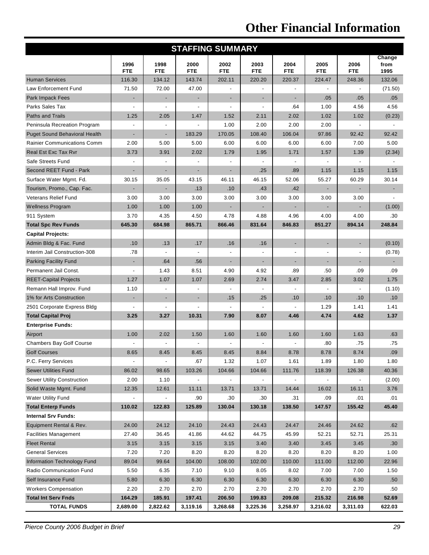# **Other Financial Information**

| <b>STAFFING SUMMARY</b>              |                          |                          |                    |                          |                          |                          |                          |                    |                        |
|--------------------------------------|--------------------------|--------------------------|--------------------|--------------------------|--------------------------|--------------------------|--------------------------|--------------------|------------------------|
|                                      | 1996<br><b>FTE</b>       | 1998<br><b>FTE</b>       | 2000<br><b>FTE</b> | 2002<br><b>FTE</b>       | 2003<br><b>FTE</b>       | 2004<br><b>FTE</b>       | 2005<br><b>FTE</b>       | 2006<br><b>FTE</b> | Change<br>from<br>1995 |
| <b>Human Services</b>                | 116.30                   | 134.12                   | 143.74             | 202.11                   | 220.20                   | 220.37                   | 224.47                   | 248.36             | 132.06                 |
| Law Enforcement Fund                 | 71.50                    | 72.00                    | 47.00              |                          |                          |                          |                          |                    | (71.50)                |
| <b>Park Impack Fees</b>              | ٠                        | ٠                        | ٠                  | $\overline{\phantom{a}}$ | ٠                        | $\overline{\phantom{a}}$ | .05                      | .05                | .05                    |
| Parks Sales Tax                      |                          |                          |                    | $\overline{\phantom{a}}$ | $\overline{\phantom{a}}$ | .64                      | 1.00                     | 4.56               | 4.56                   |
| <b>Paths and Trails</b>              | 1.25                     | 2.05                     | 1.47               | 1.52                     | 2.11                     | 2.02                     | 1.02                     | 1.02               | (0.23)                 |
| Peninsula Recreation Program         |                          |                          |                    | 1.00                     | 2.00                     | 2.00                     | 2.00                     |                    |                        |
| <b>Puget Sound Behavioral Health</b> | ÷,                       | ÷                        | 183.29             | 170.05                   | 108.40                   | 106.04                   | 97.86                    | 92.42              | 92.42                  |
| <b>Rainier Communications Comm</b>   | 2.00                     | 5.00                     | 5.00               | 6.00                     | 6.00                     | 6.00                     | 6.00                     | 7.00               | 5.00                   |
| Real Est Exc Tax Rvr                 | 3.73                     | 3.91                     | 2.02               | 1.79                     | 1.95                     | 1.71                     | 1.57                     | 1.39               | (2.34)                 |
| Safe Streets Fund                    |                          |                          |                    | $\overline{a}$           | $\blacksquare$           |                          |                          | $\overline{a}$     |                        |
| Second REET Fund - Park              |                          |                          |                    |                          | .25                      | .89                      | 1.15                     | 1.15               | 1.15                   |
| Surface Water Mgmt. Fd.              | 30.15                    | 35.05                    | 43.15              | 46.11                    | 46.15                    | 52.06                    | 55.27                    | 60.29              | 30.14                  |
| Tourism, Promo., Cap. Fac.           | ٠                        |                          | .13                | .10                      | .43                      | .42                      |                          |                    |                        |
| <b>Veterans Relief Fund</b>          | 3.00                     | 3.00                     | 3.00               | 3.00                     | 3.00                     | 3.00                     | 3.00                     | 3.00               |                        |
| <b>Wellness Program</b>              | 1.00                     | 1.00                     | 1.00               |                          | $\overline{\phantom{a}}$ |                          |                          |                    | (1.00)                 |
| 911 System                           | 3.70                     | 4.35                     | 4.50               | 4.78                     | 4.88                     | 4.96                     | 4.00                     | 4.00               | .30                    |
| <b>Total Spc Rev Funds</b>           | 645.30                   | 684.98                   | 865.71             | 866.46                   | 831.64                   | 846.83                   | 851.27                   | 894.14             | 248.84                 |
| <b>Capital Projects:</b>             |                          |                          |                    |                          |                          |                          |                          |                    |                        |
| Admin Bldg & Fac. Fund               | .10                      | .13                      | .17                | .16                      | .16                      | $\blacksquare$           | $\overline{\phantom{a}}$ | ٠                  | (0.10)                 |
| Interim Jail Construction-308        | .78                      |                          |                    |                          | ä,                       |                          |                          |                    | (0.78)                 |
| <b>Parking Facility Fund</b>         | ٠                        | .64                      | .56                | $\overline{\phantom{a}}$ | $\overline{\phantom{a}}$ | ٠                        |                          | ٠                  | $\blacksquare$         |
| Permanent Jail Const.                | ÷,                       | 1.43                     | 8.51               | 4.90                     | 4.92                     | .89                      | .50                      | .09                | .09                    |
| <b>REET-Capital Projects</b>         | 1.27                     | 1.07                     | 1.07               | 2.69                     | 2.74                     | 3.47                     | 2.85                     | 3.02               | 1.75                   |
| Remann Hall Improv. Fund             | 1.10                     |                          |                    |                          |                          |                          |                          |                    | (1.10)                 |
| 1% for Arts Construction             | ٠                        | ٠                        | ٠                  | .15                      | .25                      | .10                      | .10                      | .10                | .10                    |
| 2501 Corporate Express Bldg          |                          |                          |                    |                          |                          |                          | 1.29                     | 1.41               | 1.41                   |
| <b>Total Capital Proj</b>            | 3.25                     | 3.27                     | 10.31              | 7.90                     | 8.07                     | 4.46                     | 4.74                     | 4.62               | 1.37                   |
| <b>Enterprise Funds:</b>             |                          |                          |                    |                          |                          |                          |                          |                    |                        |
| Airport                              | 1.00                     | 2.02                     | 1.50               | 1.60                     | 1.60                     | 1.60                     | 1.60                     | 1.63               | .63                    |
| <b>Chambers Bay Golf Course</b>      |                          |                          |                    |                          |                          |                          | .80                      | .75                | .75                    |
| <b>Golf Courses</b>                  | 8.65                     | 8.45                     | 8.45               | 8.45                     | 8.84                     | 8.78                     | 8.78                     | 8.74               | .09                    |
| P.C. Ferry Services                  | $\overline{\phantom{a}}$ | $\overline{\phantom{a}}$ | .67                | 1.32                     | 1.07                     | 1.61                     | 1.89                     | 1.80               | 1.80                   |
| <b>Sewer Utilities Fund</b>          | 86.02                    | 98.65                    | 103.26             | 104.66                   | 104.66                   | 111.76                   | 118.39                   | 126.38             | 40.36                  |
| <b>Sewer Utility Construction</b>    | 2.00                     | 1.10                     |                    |                          |                          |                          |                          |                    | (2.00)                 |
| Solid Waste Mgmt. Fund               | 12.35                    | 12.61                    | 11.11              | 13.71                    | 13.71                    | 14.44                    | 16.02                    | 16.11              | 3.76                   |
| <b>Water Utility Fund</b>            |                          |                          | .90                | .30                      | .30                      | .31                      | .09                      | .01                | .01                    |
| <b>Total Enterp Funds</b>            | 110.02                   | 122.83                   | 125.89             | 130.04                   | 130.18                   | 138.50                   | 147.57                   | 155.42             | 45.40                  |
| <b>Internal Srv Funds:</b>           |                          |                          |                    |                          |                          |                          |                          |                    |                        |
| Equipment Rental & Rev.              | 24.00                    | 24.12                    | 24.10              | 24.43                    | 24.43                    | 24.47                    | 24.46                    | 24.62              | .62                    |
| <b>Facilities Management</b>         | 27.40                    | 36.45                    | 41.86              | 44.62                    | 44.75                    | 45.99                    | 52.21                    | 52.71              | 25.31                  |
| <b>Fleet Rental</b>                  | 3.15                     | 3.15                     | 3.15               | 3.15                     | 3.40                     | 3.40                     | 3.45                     | 3.45               | .30 <sub>0</sub>       |
| <b>General Services</b>              | 7.20                     | 7.20                     | 8.20               | 8.20                     | 8.20                     | 8.20                     | 8.20                     | 8.20               | 1.00                   |
| <b>Information Technology Fund</b>   | 89.04                    | 99.64                    | 104.00             | 108.00                   | 102.00                   | 110.00                   | 111.00                   | 112.00             | 22.96                  |
| Radio Communication Fund             | 5.50                     | 6.35                     | 7.10               | 9.10                     | 8.05                     | 8.02                     | 7.00                     | 7.00               | 1.50                   |
| Self Insurance Fund                  | 5.80                     | 6.30                     | 6.30               | 6.30                     | 6.30                     | 6.30                     | 6.30                     | 6.30               | .50                    |
| <b>Workers Compensation</b>          | 2.20                     | 2.70                     | 2.70               | 2.70                     | 2.70                     | 2.70                     | 2.70                     | 2.70               | .50                    |
| <b>Total Int Serv Fnds</b>           | 164.29                   | 185.91                   | 197.41             | 206.50                   | 199.83                   | 209.08                   | 215.32                   | 216.98             | 52.69                  |
| <b>TOTAL FUNDS</b>                   | 2,689.00                 | 2,822.62                 | 3,119.16           | 3,268.68                 | 3,225.36                 | 3,258.97                 | 3,216.02                 | 3,311.03           | 622.03                 |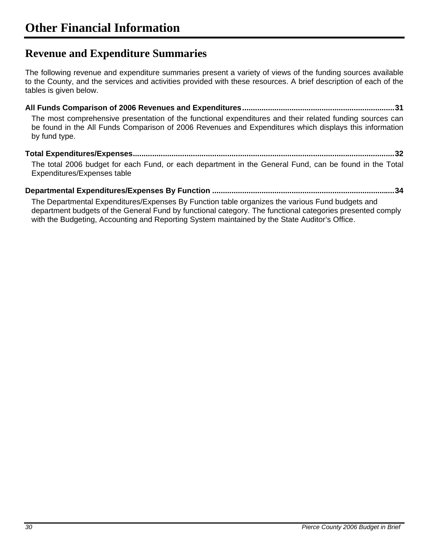### **Revenue and Expenditure Summaries**

The following revenue and expenditure summaries present a variety of views of the funding sources available to the County, and the services and activities provided with these resources. A brief description of each of the tables is given below.

**All Funds Comparison of 2006 Revenues and Expenditures.......................................................................31** The most comprehensive presentation of the functional expenditures and their related funding sources can be found in the All Funds Comparison of 2006 Revenues and Expenditures which displays this information by fund type.

#### **Total Expenditures/Expenses..........................................................................................................................32**

The total 2006 budget for each Fund, or each department in the General Fund, can be found in the Total Expenditures/Expenses table

#### **Departmental Expenditures/Expenses By Function .....................................................................................34**

The Departmental Expenditures/Expenses By Function table organizes the various Fund budgets and department budgets of the General Fund by functional category. The functional categories presented comply with the Budgeting, Accounting and Reporting System maintained by the State Auditor's Office.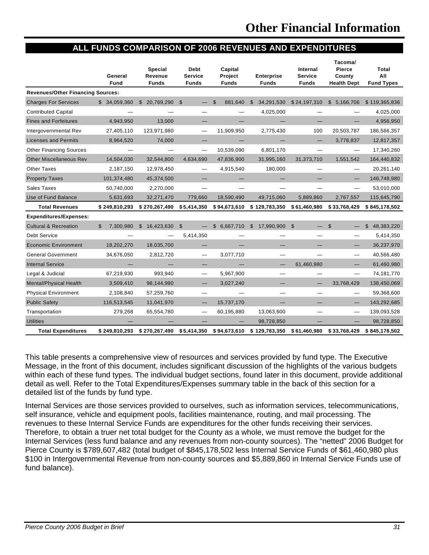#### **ALL FUNDS COMPARISON OF 2006 REVENUES AND EXPENDITURES**

|                                          | General<br>Fund           | <b>Special</b><br>Revenue<br><b>Funds</b> | <b>Debt</b><br><b>Service</b><br><b>Funds</b> | Capital<br>Project<br><b>Funds</b> | <b>Enterprise</b><br><b>Funds</b>       | Internal<br><b>Service</b><br><b>Funds</b> | Tacoma/<br><b>Pierce</b><br>County<br><b>Health Dept</b> | Total<br>All<br><b>Fund Types</b> |
|------------------------------------------|---------------------------|-------------------------------------------|-----------------------------------------------|------------------------------------|-----------------------------------------|--------------------------------------------|----------------------------------------------------------|-----------------------------------|
| <b>Revenues/Other Financing Sources:</b> |                           |                                           |                                               |                                    |                                         |                                            |                                                          |                                   |
| <b>Charges For Services</b>              | \$34,059,360              | $$20,769,290$ \$                          |                                               | 881.640<br>\$                      | 34,291,530<br>$\mathfrak{L}$            | \$24,197,310                               | \$5,166,706                                              | \$119,365,836                     |
| <b>Contributed Capital</b>               |                           |                                           |                                               |                                    | 4,025,000                               |                                            |                                                          | 4,025,000                         |
| <b>Fines and Forfeitures</b>             | 4,943,950                 | 13,000                                    |                                               |                                    |                                         |                                            |                                                          | 4,956,950                         |
| Intergovernmental Rev                    | 27,405,110                | 123,971,980                               |                                               | 11,909,950                         | 2,775,430                               | 100                                        | 20,503,787                                               | 186,566,357                       |
| <b>Licenses and Permits</b>              | 8,964,520                 | 74,000                                    |                                               |                                    |                                         | —                                          | 3,778,837                                                | 12,817,357                        |
| <b>Other Financing Sources</b>           |                           |                                           | $\overline{\phantom{0}}$                      | 10,539,090                         | 6,801,170                               |                                            |                                                          | 17,340,260                        |
| <b>Other Miscellaneous Rev</b>           | 14,504,030                | 32,544,800                                | 4,634,690                                     | 47,836,900                         | 31,995,160                              | 31,373,710                                 | 1,551,542                                                | 164,440,832                       |
| <b>Other Taxes</b>                       | 2,187,150                 | 12,978,450                                |                                               | 4,915,540                          | 180,000                                 |                                            |                                                          | 20,261,140                        |
| <b>Property Taxes</b>                    | 101,374,480               | 45,374,500                                |                                               |                                    |                                         |                                            |                                                          | 146,748,980                       |
| <b>Sales Taxes</b>                       | 50,740,000                | 2,270,000                                 |                                               |                                    |                                         |                                            |                                                          | 53,010,000                        |
| Use of Fund Balance                      | 5,631,693                 | 32,271,470                                | 779,660                                       | 18,590,490                         | 49,715,060                              | 5,889,860                                  | 2,767,557                                                | 115,645,790                       |
| <b>Total Revenues</b>                    | \$249,810,293             | \$270,267,490                             | \$5,414,350                                   | \$94,673,610                       | \$129,783,350                           | \$61,460,980                               | \$33,768,429                                             | \$845,178,502                     |
| <b>Expenditures/Expenses:</b>            |                           |                                           |                                               |                                    |                                         |                                            |                                                          |                                   |
| <b>Cultural &amp; Recreation</b>         | $\mathbb{S}$<br>7,300,980 | \$16.423.630                              | \$                                            | \$6,667,710                        | $\mathfrak{L}$<br>17,990,900            | $\mathfrak{L}$                             | $\mathfrak{S}$                                           | $\mathfrak{L}$<br>48,383,220      |
| <b>Debt Service</b>                      |                           |                                           | 5,414,350                                     |                                    |                                         |                                            |                                                          | 5,414,350                         |
| <b>Economic Environment</b>              | 18,202,270                | 18,035,700                                |                                               |                                    |                                         |                                            |                                                          | 36,237,970                        |
| <b>General Government</b>                | 34,676,050                | 2,812,720                                 | —                                             | 3,077,710                          |                                         |                                            | $\overline{\phantom{0}}$                                 | 40,566,480                        |
| <b>Internal Service</b>                  |                           |                                           |                                               |                                    |                                         | 61,460,980                                 |                                                          | 61,460,980                        |
| Legal & Judicial                         | 67,219,930                | 993.940                                   | $\overline{\phantom{0}}$                      | 5,967,900                          |                                         | —                                          | $\overline{\phantom{0}}$                                 | 74,181,770                        |
| <b>Mental/Physical Health</b>            | 3,509,410                 | 98,144,990                                |                                               | 3,027,240                          |                                         |                                            | 33.768.429                                               | 138,450,069                       |
| <b>Physical Environment</b>              | 2,108,840                 | 57,259,760                                | —                                             |                                    |                                         |                                            |                                                          | 59,368,600                        |
| <b>Public Safety</b>                     | 116,513,545               | 11,041,970                                |                                               | 15,737,170                         |                                         |                                            |                                                          | 143,292,685                       |
| Transportation                           | 279,268                   | 65,554,780                                |                                               | 60,195,880                         | 13,063,600                              |                                            |                                                          | 139,093,528                       |
| <b>Utilities</b>                         |                           |                                           |                                               |                                    | 98,728,850                              |                                            |                                                          | 98,728,850                        |
| <b>Total Expenditures</b>                | \$249.810.293             | \$270,267,490                             | \$5,414,350                                   |                                    | \$94,673,610 \$129,783,350 \$61,460,980 |                                            | \$33,768,429                                             | \$845,178,502                     |

This table presents a comprehensive view of resources and services provided by fund type. The Executive Message, in the front of this document, includes significant discussion of the highlights of the various budgets within each of these fund types. The individual budget sections, found later in this document, provide additional detail as well. Refer to the Total Expenditures/Expenses summary table in the back of this section for a detailed list of the funds by fund type.

Internal Services are those services provided to ourselves, such as information services, telecommunications, self insurance, vehicle and equipment pools, facilities maintenance, routing, and mail processing. The revenues to these Internal Service Funds are expenditures for the other funds receiving their services. Therefore, to obtain a truer net total budget for the County as a whole, we must remove the budget for the Internal Services (less fund balance and any revenues from non-county sources). The "netted" 2006 Budget for Pierce County is \$789,607,482 (total budget of \$845,178,502 less Internal Service Funds of \$61,460,980 plus \$100 in Intergovernmental Revenue from non-county sources and \$5,889,860 in Internal Service Funds use of fund balance).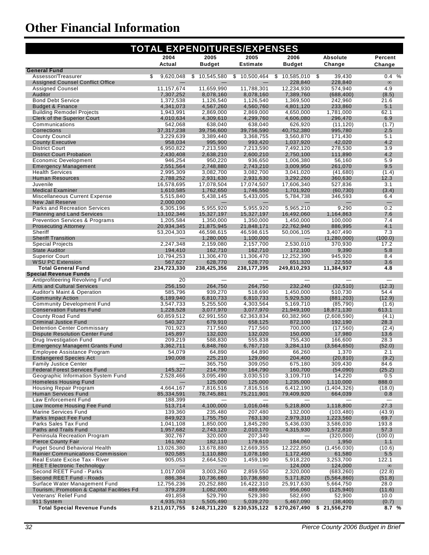# **Other Financial Information**

| <b>TOTAL EXPENDITURES/EXPENSES</b>                                               |                         |                          |                          |                          |                        |                                 |
|----------------------------------------------------------------------------------|-------------------------|--------------------------|--------------------------|--------------------------|------------------------|---------------------------------|
|                                                                                  | 2004                    | 2005                     | 2005                     | 2006                     | Absolute               | Percent                         |
|                                                                                  | Actual                  | <b>Budget</b>            | <b>Estimate</b>          | <b>Budget</b>            | Change                 | Change                          |
| <b>General Fund</b><br>Assessor/Treasurer                                        | \$<br>9,620,048         | \$10,545,580             | \$10,500,464             | $$10,585,010$ \$         | 39,430                 | 0.4%                            |
| <b>Assigned Counsel Conflict Office</b>                                          |                         |                          |                          | 228.840                  | 228,840                | $\infty$                        |
| <b>Assigned Counsel</b>                                                          | 11,157,674              | 11.659.990               | 11,788,301               | 12,234,930               | 574.940                | 4.9                             |
| Auditor                                                                          | 7,307,252               | 8,078,160                | 8,078,160                | 7,389,760                | (688, 400)             | (8.5)                           |
| <b>Bond Debt Service</b>                                                         | 1,372,538               | 1,126,540                | 1,126,540                | 1,369,500                | 242,960                | 21.6                            |
| <b>Budget &amp; Finance</b>                                                      | 4,341,073               | 4,567,260                | 4,560,760                | 4,801,120                | 233,860                | 5.1                             |
| <b>Building Remodel Projects</b>                                                 | 1,943,991               | 2,869,000                | 2,869,000                | 4,650,000                | 1,781,000<br>296,470   | 62.1<br>6.9                     |
| <b>Clerk of the Superior Court</b><br>Communications                             | 4,010,634<br>542,068    | 4,309,610<br>638,040     | 4,299,760<br>638,040     | 4,606,080<br>626,920     | (11, 120)              | (1.7)                           |
| Corrections                                                                      | 37, 317, 238            | 39,756,600               | 39,756,590               | 40,752,380               | 995,780                | 2.5                             |
| <b>County Council</b>                                                            | 3,229,639               | 3,389,440                | 3,368,755                | 3,560,870                | 171,430                | 5.1                             |
| <b>County Executive</b>                                                          | 958,034                 | 995,900                  | 993,420                  | 1,037,920                | 42,020                 | 4.2                             |
| <b>District Court</b>                                                            | 6,950,822               | 7,213,590                | 7,213,590                | 7,492,120                | 278,530                | 3.9                             |
| <b>District Court Probation</b>                                                  | 2,430,408               | 2,638,210                | 2,600,210                | 2,750,100                | 111,890                | 4.2                             |
| <b>Economic Development</b><br><b>Emergency Management</b>                       | 946,254<br>2,551,564    | 950,220<br>2,748,880     | 936,650<br>2,743,210     | 1,006,380<br>3,009,950   | 56,160<br>261,070      | 5.9<br>9.5                      |
| <b>Health Services</b>                                                           | 2,995,309               | 3,082,700                | 3,082,700                | 3,041,020                | (41, 680)              | (1.4)                           |
| <b>Human Resources</b>                                                           | 2,788,252               | 2,931,630                | 2,931,630                | 3,292,260                | 360,630                | 12.3                            |
| Juvenile                                                                         | 16,578,695              | 17,078,504               | 17,074,507               | 17,606,340               | 527,836                | 3.1                             |
| <b>Medical Examiner</b>                                                          | 1,610,585               | 1,762,650                | 1,746,550                | 1,701,920                | (60, 730)              | (3.4)                           |
| <b>Miscellaneous Current Expense</b>                                             | 5,515,840               | 5,438,145                | 5,433,005                | 5,784,738                | 346,593                | 6.4                             |
| New Jail Reserve                                                                 | 2,000,000               | $\overline{\phantom{0}}$ |                          |                          |                        | $\qquad \qquad -$               |
| <b>Parks and Recreation Services</b>                                             | 6,305,196               | 5,955,920                | 5,955,920                | 5,965,210                | 9,290                  | 0.2                             |
| <b>Planning and Land Services</b>                                                | 13,102,346              | 15,327,197               | 15,327,197               | 16,492,060               | 1,164,863              | 7.6                             |
| <b>Prevention Services &amp; Programs</b><br><b>Prosecuting Attorney</b>         | 1,205,584<br>20,934,345 | 1,350,000                | 1,350,000                | 1,450,000                | 100,000<br>886,995     | 7.4<br>4.1                      |
| Sheriff                                                                          | 53,204,303              | 21,875,945<br>46,598,615 | 21,848,171<br>46,598,615 | 22,762,940<br>50,006,105 | 3,407,490              | 7.3                             |
| <b>Sheriff Transition</b>                                                        |                         | 1,280,000                | 1,100,000                |                          | (1,280,000)            | (100.0)                         |
| <b>Special Projects</b>                                                          | 2,247,348               | 2,159,080                | 2,157,700                | 2,530,010                | 370,930                | 17.2                            |
| <b>State Auditor</b>                                                             | 194,410                 | 162,710                  | 162,710                  | 172,100                  | 9,390                  | 5.8                             |
| <b>Superior Court</b>                                                            | 10,794,253              | 11,306,470               | 11,306,470               | 12,252,390               | 945,920                | 8.4                             |
| <b>WSU PC Extension</b>                                                          | 567,627                 | 628,770                  | 628,770                  | 651,320                  | 22,550                 | 3.6                             |
| <b>Total General Fund</b>                                                        | 234,723,330             | 238,425,356              | 238,177,395              | 249,810,293              | 11,384,937             | 4.8                             |
| <b>Special Revenue Funds</b><br>Antiprofiteering Revolving Fund                  | 20                      |                          |                          |                          |                        |                                 |
| <b>Arts and Cultural Services</b>                                                | 256,150                 | 264,750                  | 264,750                  | 232,240                  | (32, 510)              | (12.3)                          |
| <b>Auditor's Maint &amp; Operation</b>                                           | 585,796                 | 939,270                  | 518,690                  | 1,450,000                | 510,730                | 54.4                            |
| <b>Community Action</b>                                                          | 6,189,940               | 6,810,733                | 6,810,733                | 5,929,530                | (881, 203)             | (12.9)                          |
| <b>Community Development Fund</b>                                                | 3,547,733               | 5,255,500                | 4,303,564                | 5,169,710                | (85, 790)              | (1.6)                           |
| <b>Conservation Futures Fund</b>                                                 | 1,228,528               | 3,077,970                | 3,077,970                | 21,949,100               | 18,871,130             | 613.1                           |
| County Road Fund                                                                 | 60,859,512              | 62,991,550               | 62,363,834               | 60,382,960               | (2,608,590)            | (4.1)                           |
| <b>Criminal Justice Fund</b>                                                     | 540,327                 | 679,910                  | 658,125                  | 872,100                  | 192,190                | 28.3                            |
| <b>Detention Center Commissary</b>                                               | 701,923                 | 717,560                  | 717,560                  | 700,000                  | (17, 560)<br>17,980    | (2.4)<br>13.6                   |
| <b>Dispute Resolution Center Fund</b><br>Drug Investigation Fund                 | 145,897<br>209,219      | 132,020<br>588,830       | 132,020<br>555,838       | 150,000<br>755,430       | 166,600                | 28.3                            |
| <b>Emergency Managemt Grants Fund</b>                                            | 3,362,711               | 6,848,760                | 6,767,710                | 3,284,110                | (3,564,650)            | (52.0)                          |
| Employee Assistance Program                                                      | 54.079                  | 64,890                   | 64,890                   | 66,260                   | 1,370                  | 2.1                             |
| Endangered Species Act                                                           | 190,008                 | 225,210                  | 129,060                  | 204,400                  | (20, 810)              | (9.2)                           |
| <b>Family Justice Center</b>                                                     |                         | 365,750                  | 309,050                  | 675,180                  | 309,430                | 84.6                            |
| <b>Federal Forest Services Fund</b>                                              | 145,327                 | 214,790                  | 164,790                  | 160,700                  | (54,090)               | (25.2)                          |
| Geographic Information System Fund                                               | 2,528,466               | 3,095,490                | 3,030,510                | 3,109,710                | 14,220                 | 0.5                             |
| <b>Homeless Housing Fund</b><br>Housing Repair Program                           | —                       | 125,000                  | 125,000                  | 1,235,000                | 1,110,000              | 888.0                           |
| Human Services Fund                                                              | 4,664,167<br>85,334,591 | 7,816,516<br>78,745,881  | 7,816,516<br>75,211,901  | 6,412,190<br>79,409,920  | (1,404,326)<br>664,039 | (18.0)<br>0.8                   |
| Law Enforcement Fund                                                             | 188,399                 |                          |                          |                          |                        | $\hspace{0.1mm}-\hspace{0.1mm}$ |
| Low Income Housing Fee Fund                                                      | 513,714                 | 4,100,000                | 1,016,046                | 5,218,800                | 1,118,800              | 27.3                            |
| Marine Services Fund                                                             | 139,360                 | 235,480                  | 207,480                  | 132,000                  | (103, 480)             | (43.9)                          |
| Parks Impact Fee Fund                                                            | 849,923                 | 1,755,750                | 763,130                  | 2,979,310                | 1,223,560              | 69.7                            |
| Parks Sales Tax Fund                                                             | 1,041,108               | 1,850,000                | 1,845,280                | 5,436,030                | 3,586,030              | 193.8                           |
| Paths and Trails Fund                                                            | 1,957,682               | 2,743,120                | 2,010,170                | 4,315,930                | 1,572,810              | 57.3                            |
| Peninsula Recreation Program                                                     | 302,767                 | 320,000                  | 207,340                  |                          | (320,000)              | (100.0)                         |
| <b>Pierce County Fair</b>                                                        | 161,902                 | 182,110                  | 179,610                  | 184,060                  | 1,950                  | 1.1                             |
| <b>Puget Sound Behavioral Health</b><br><b>Rainier Communications Commission</b> | 13,026,380<br>920,585   | 13,678,880<br>1,110,880  | 12,669,355<br>1,078,160  | 12,222,850<br>1,172,460  | (1,456,030)<br>61,580  | (10.6)<br>5.5                   |
| Real Estate Excise Tax - River                                                   | 905,053                 | 2,664,520                | 1,459,190                | 5,918,220                | 3,253,700              | 122.1                           |
| <b>REET Electronic Technology</b>                                                | —                       |                          |                          | 124,000                  | 124,000                | $\infty$                        |
| Second REET Fund - Parks                                                         | 1,017,008               | 3,003,260                | 2,859,550                | 2,320,000                | (683, 260)             | (22.8)                          |
| Second REET Fund - Roads                                                         | 886,384                 | 10,736,680               | 10,736,680               | 5,171,820                | (5, 564, 860)          | (51.8)                          |
| Surface Water Management Fund                                                    | 12,756,236              | 20,252,880               | 16,422,310               | 25,917,630               | 5,664,750              | 28.0                            |
| Tourism, Promotion & Capital Facilities Fd.                                      | 379,239                 | 1,082,000                | 489,660                  | 956,060                  | (125, 940)             | (11.6)                          |
| Veterans' Relief Fund                                                            | 491,858                 | 529,790                  | 529,380                  | 582,690                  | 52,900                 | 10.0                            |
| 911 System                                                                       | 4,935,763               | 5,505,490                | 5,039,270                | 5,467,090                | (38, 400)              | (0.7)                           |
| <b>Total Special Revenue Funds</b>                                               | \$211,017,755           | \$248,711,220            | \$230,535,122            | \$270,267,490            | \$21,556,270           | 8.7%                            |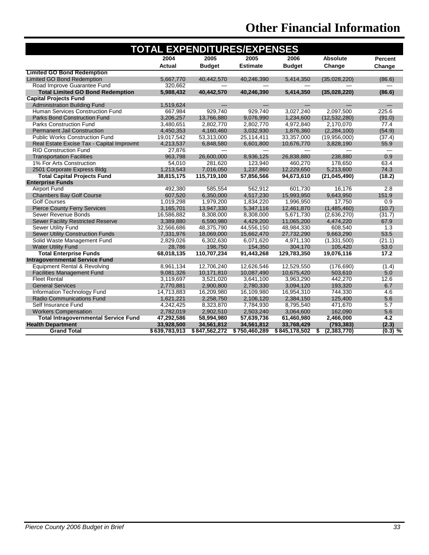# **Other Financial Information**

| <b>TOTAL EXPENDITURES/EXPENSES</b>          |               |               |                 |               |                     |           |  |
|---------------------------------------------|---------------|---------------|-----------------|---------------|---------------------|-----------|--|
|                                             | 2004          | 2005          | 2005            | 2006          | <b>Absolute</b>     | Percent   |  |
|                                             | <b>Actual</b> | <b>Budget</b> | <b>Estimate</b> | <b>Budget</b> | Change              | Change    |  |
| <b>Limited GO Bond Redemption</b>           |               |               |                 |               |                     |           |  |
| <b>Limited GO Bond Redemption</b>           | 5.667.770     | 40.442.570    | 40.246.390      | 5,414,350     | (35,028,220)        | (86.6)    |  |
| Road Improve Guarantee Fund                 | 320,662       |               |                 |               |                     |           |  |
| <b>Total Limited GO Bond Redemption</b>     | 5,988,432     | 40,442,570    | 40,246,390      | 5,414,350     | (35,028,220)        | (86.6)    |  |
| <b>Capital Projects Fund</b>                |               |               |                 |               |                     |           |  |
| <b>Administration Building Fund</b>         | 1,519,624     |               |                 |               |                     |           |  |
| Human Services Construction Fund            | 667,984       | 929.740       | 929.740         | 3,027,240     | 2,097,500           | 225.6     |  |
| <b>Parks Bond Construction Fund</b>         | 3,206,257     | 13,766,880    | 9,076,990       | 1,234,600     | (12,532,280)        | (91.0)    |  |
| <b>Parks Construction Fund</b>              | 3,480,651     | 2,802,770     | 2,802,770       | 4,972,840     | 2,170,070           | 77.4      |  |
| <b>Permanent Jail Construction</b>          | 4,450,353     | 4,160,460     | 3,032,930       | 1,876,360     | (2, 284, 100)       | (54.9)    |  |
| <b>Public Works Construction Fund</b>       | 19,017,542    | 53,313,000    | 25,114,411      | 33,357,000    | (19,956,000)        | (37.4)    |  |
| Real Estate Excise Tax - Capital Improvmt   | 4,213,537     | 6,848,580     | 6,601,800       | 10,676,770    | 3,828,190           | 55.9      |  |
| <b>RID Construction Fund</b>                | 27,876        |               |                 |               |                     |           |  |
| <b>Transportation Facilities</b>            | 963,798       | 26,600,000    | 8,936,125       | 26,838,880    | 238,880             | 0.9       |  |
| 1% For Arts Construction                    | 54,010        | 281,620       | 123,940         | 460,270       | 178,650             | 63.4      |  |
| 2501 Corporate Express Bldg                 | 1,213,543     | 7,016,050     | 1,237,860       | 12,229,650    | 5,213,600           | 74.3      |  |
| <b>Total Capital Projects Fund</b>          | 38,815,175    | 115,719,100   | 57,856,566      | 94,673,610    | (21, 045, 490)      | (18.2)    |  |
| <b>Enterprise Funds</b>                     |               |               |                 |               |                     |           |  |
| <b>Airport Fund</b>                         | 492,380       | 585,554       | 562,912         | 601.730       | 16,176              | 2.8       |  |
| <b>Chambers Bay Golf Course</b>             | 607,520       | 6,350,000     | 4,517,230       | 15,993,950    | 9,643,950           | 151.9     |  |
| <b>Golf Courses</b>                         | 1,019,298     | 1,979,200     | 1,834,220       | 1,996,950     | 17,750              | 0.9       |  |
| <b>Pierce County Ferry Services</b>         | 3,165,701     | 13,947,330    | 5,347,116       | 12,461,870    | (1,485,460)         | (10.7)    |  |
| Sewer Revenue Bonds                         | 16,586,882    | 8,308,000     | 8,308,000       | 5,671,730     | (2,636,270)         | (31.7)    |  |
| <b>Sewer Facility Restricted Reserve</b>    | 3,389,880     | 6,590,980     | 4,429,200       | 11,065,200    | 4,474,220           | 67.9      |  |
| <b>Sewer Utility Fund</b>                   | 32,566,686    | 48,375,790    | 44,556,150      | 48,984,330    | 608.540             | 1.3       |  |
| <b>Sewer Utility Construction Funds</b>     | 7,331,976     | 18,069,000    | 15,662,470      | 27,732,290    | 9,663,290           | 53.5      |  |
| Solid Waste Management Fund                 | 2,829,026     | 6,302,630     | 6,071,620       | 4,971,130     | (1,331,500)         | (21.1)    |  |
| <b>Water Utility Fund</b>                   | 28,786        | 198,750       | 154,350         | 304,170       | 105,420             | 53.0      |  |
| <b>Total Enterprise Funds</b>               | 68,018,135    | 110,707,234   | 91,443,268      | 129,783,350   | 19,076,116          | 17.2      |  |
| <b>Intragovernmental Service Fund</b>       |               |               |                 |               |                     |           |  |
| Equipment Rental & Revolving                | 8,961,134     | 12,706,240    | 12,626,546      | 12,529,550    | (176, 690)          | (1.4)     |  |
| <b>Facilities Management Fund</b>           | 9,081,326     | 10,171,810    | 10,087,490      | 10,675,420    | 503,610             | 5.0       |  |
| <b>Fleet Rental</b>                         | 3,119,697     | 3,521,020     | 3,641,100       | 3,963,290     | 442,270             | 12.6      |  |
| <b>General Services</b>                     | 2,770,881     | 2,900,800     | 2,780,330       | 3,094,120     | 193,320             | 6.7       |  |
| Information Technology Fund                 | 14,713,883    | 16,209,980    | 16,109,980      | 16,954,310    | 744,330             | 4.6       |  |
| <b>Radio Communications Fund</b>            | 1,621,221     | 2,258,750     | 2,106,120       | 2,384,150     | 125,400             | 5.6       |  |
| Self Insurance Fund                         | 4,242,425     | 8,323,870     | 7,784,930       | 8,795,540     | 471,670             | 5.7       |  |
| <b>Workers Compensation</b>                 | 2,782,019     | 2,902,510     | 2,503,240       | 3,064,600     | 162,090             | 5.6       |  |
| <b>Total Intragovernmental Service Fund</b> | 47,292,586    | 58,994,980    | 57,639,736      | 61,460,980    | 2,466,000           | 4.2       |  |
| <b>Health Department</b>                    | 33,928,500    | 34,561,812    | 34,561,812      | 33,768,429    | (793, 383)          | (2.3)     |  |
| <b>Grand Total</b>                          | \$639,783,913 | \$847,562,272 | \$750,460,289   | \$845,178,502 | (2, 383, 770)<br>\$ | $(0.3)$ % |  |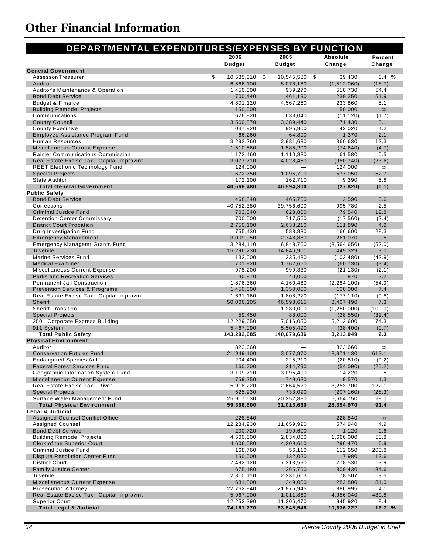| DEPARTMENTAL EXPENDITURES/EXPENSES BY FUNCTION                     |                       |                       |                        |                   |
|--------------------------------------------------------------------|-----------------------|-----------------------|------------------------|-------------------|
|                                                                    | 2006<br><b>Budget</b> | 2005<br><b>Budget</b> | Absolute<br>Change     | Percent<br>Change |
| <b>General Government</b>                                          |                       |                       |                        |                   |
| Assessor/Treasurer                                                 | \$<br>10,585,010      | \$<br>10,545,580      | \$<br>39,430           | 0.4%              |
| Auditor                                                            | 6,566,100             | 8,078,160             | (1,512,060)            | (18.7)            |
| Auditor's Maintenance & Operation                                  | 1,450,000             | 939,270               | 510,730                | 54.4              |
| <b>Bond Debt Service</b>                                           | 700,440               | 461,190               | 239,250                | 51.9              |
| <b>Budget &amp; Finance</b>                                        | 4,801,120             | 4,567,260             | 233,860                | 5.1<br>$\infty$   |
| <b>Building Remodel Projects</b><br>Communications                 | 150,000<br>626,920    | 638,040               | 150,000<br>(11, 120)   | (1.7)             |
| <b>County Council</b>                                              | 3,560,870             | 3,389,440             | 171,430                | 5.1               |
| <b>County Executive</b>                                            | 1,037,920             | 995,900               | 42,020                 | 4.2               |
| Employee Assistance Program Fund                                   | 66,260                | 64,890                | 1,370                  | 2.1               |
| <b>Human Resources</b>                                             | 3,292,260             | 2,931,630             | 360,630                | 12.3              |
| <b>Miscellaneous Current Expense</b>                               | 1,510,560             | 1,585,200             | (74, 640)              | (4.7)             |
| Rainier Communications Commission                                  | 1,172,460             | 1,110,880             | 61,580                 | 5.5               |
| Real Estate Excise Tax - Capital Improvmt                          | 3,077,710             | 4,028,450             | (950, 740)             | (23.6)            |
| <b>REET Electronic Technology Fund</b>                             | 124,000               |                       | 124,000                | $\infty$          |
| <b>Special Projects</b>                                            | 1,672,750             | 1,095,700             | 577,050                | 52.7              |
| <b>State Auditor</b>                                               | 172,100               | 162,710               | 9,390                  | 5.8               |
| <b>Total General Government</b>                                    | 40,566,480            | 40,594,300            | (27, 820)              | (0.1)             |
| <b>Public Safety</b>                                               |                       |                       |                        |                   |
| <b>Bond Debt Service</b>                                           | 468,340               | 465,750               | 2,590                  | 0.6               |
| Corrections                                                        | 40,752,380            | 39,756,600            | 995,780                | 2.5               |
| <b>Criminal Justice Fund</b><br><b>Detention Center Commissary</b> | 703,340               | 623,800               | 79,540                 | 12.8              |
| <b>District Court Probation</b>                                    | 700,000<br>2,750,100  | 717,560<br>2,638,210  | (17, 560)<br>111,890   | (2.4)<br>4.2      |
| Drug Investigation Fund                                            | 755,430               | 588,830               | 166,600                | 28.3              |
| <b>Emergency Management</b>                                        | 3,009,950             | 2,748,880             | 261,070                | 9.5               |
| <b>Emergency Managemt Grants Fund</b>                              | 3,284,110             | 6,848,760             | (3, 564, 650)          | (52.0)            |
| Juvenile                                                           | 15,296,230            | 14,846,901            | 449,329                | 3.0               |
| <b>Marine Services Fund</b>                                        | 132,000               | 235,480               | (103, 480)             | (43.9)            |
| <b>Medical Examiner</b>                                            | 1,701,920             | 1,762,650             | (60, 730)              | (3.4)             |
| Miscellaneous Current Expense                                      | 978,200               | 999,330               | (21, 130)              | (2.1)             |
| <b>Parks and Recreation Services</b>                               | 40,870                | 40,000                | 870                    | 2.2               |
| <b>Permanent Jail Construction</b>                                 | 1,876,360             | 4,160,460             | (2, 284, 100)          | (54.9)            |
| <b>Prevention Services &amp; Programs</b>                          | 1,450,000             | 1,350,000             | 100,000                | 7.4               |
| Real Estate Excise Tax - Capital Improvmt                          | 1,631,160             | 1,808,270             | (177, 110)             | (9.8)             |
| <b>Sheriff</b>                                                     | 50,006,105            | 46,598,615            | 3,407,490              | 7.3               |
| <b>Sheriff Transition</b>                                          |                       | 1,280,000             | (1,280,000)            | (100.0)           |
| <b>Special Projects</b><br>2501 Corporate Express Building         | 59,450<br>12,229,650  | 88,000<br>7,016,050   | (28, 550)              | (32.4)<br>74.3    |
| 911 System                                                         | 5,467,090             | 5,505,490             | 5,213,600<br>(38, 400) | (0.7)             |
| <b>Total Public Safety</b>                                         | 143,292,685           | 140,079,636           | 3,213,049              | 2.3               |
| <b>Physical Environment</b>                                        |                       |                       |                        |                   |
| Auditor                                                            | 823,660               |                       | 823,660                | $\infty$          |
| <b>Conservation Futures Fund</b>                                   | 21,949,100            | 3,077,970             | 18,871,130             | 613.1             |
| Endangered Species Act                                             | 204,400               | 225,210               | (20, 810)              | (9.2)             |
| <b>Federal Forest Services Fund</b>                                | 160,700               | 214,790               | (54,090)               | (25.2)            |
| Geographic Information System Fund                                 | 3,109,710             | 3,095,490             | 14,220                 | 0.5               |
| <b>Miscellaneous Current Expense</b>                               | 759,250               | 749,680               | 9,570                  | 1.3               |
| Real Estate Excise Tax - River                                     | 5,918,220             | 2,664,520             | 3,253,700              | 122.1             |
| <b>Special Projects</b>                                            | 525,930               | 733,090               | (207, 160)             | (28.3)            |
| Surface Water Management Fund                                      | 25,917,630            | 20,252,880            | 5,664,750              | 28.0              |
| <b>Total Physical Environment</b>                                  | 59,368,600            | 31,013,630            | 28,354,970             | 91.4              |
| Legal & Judicial                                                   |                       |                       |                        |                   |
| <b>Assigned Counsel Conflict Office</b>                            | 228,840               |                       | 228,840                | $\infty$          |
| <b>Assigned Counsel</b><br><b>Bond Debt Service</b>                | 12,234,930<br>200,720 | 11,659,990<br>199,600 | 574,940<br>1,120       | 4.9<br>0.6        |
| <b>Building Remodel Projects</b>                                   | 4,500,000             | 2,834,000             | 1,666,000              | 58.8              |
| <b>Clerk of the Superior Court</b>                                 | 4,606,080             | 4,309,610             | 296,470                | 6.9               |
| Criminal Justice Fund                                              | 168,760               | 56,110                | 112,650                | 200.8             |
| <b>Dispute Resolution Center Fund</b>                              | 150,000               | 132,020               | 17,980                 | 13.6              |
| <b>District Court</b>                                              | 7,492,120             | 7,213,590             | 278,530                | 3.9               |
| <b>Family Justice Center</b>                                       | 675,180               | 365,750               | 309,430                | 84.6              |
| Juvenile                                                           | 2,310,110             | 2,231,603             | 78,507                 | 3.5               |
| Miscellaneous Current Expense                                      | 631,800               | 349,000               | 282,800                | 81.0              |
| <b>Prosecuting Attorney</b>                                        | 22,762,940            | 21,875,945            | 886,995                | 4.1               |
| Real Estate Excise Tax - Capital Improvmt                          | 5,967,900             | 1,011,860             | 4,956,040              | 489.8             |
| <b>Superior Court</b>                                              | 12,252,390            | 11,306,470            | 945,920                | 8.4               |
| <b>Total Legal &amp; Judicial</b>                                  | 74,181,770            | 63,545,548            | 10,636,222             | 16.7 %            |